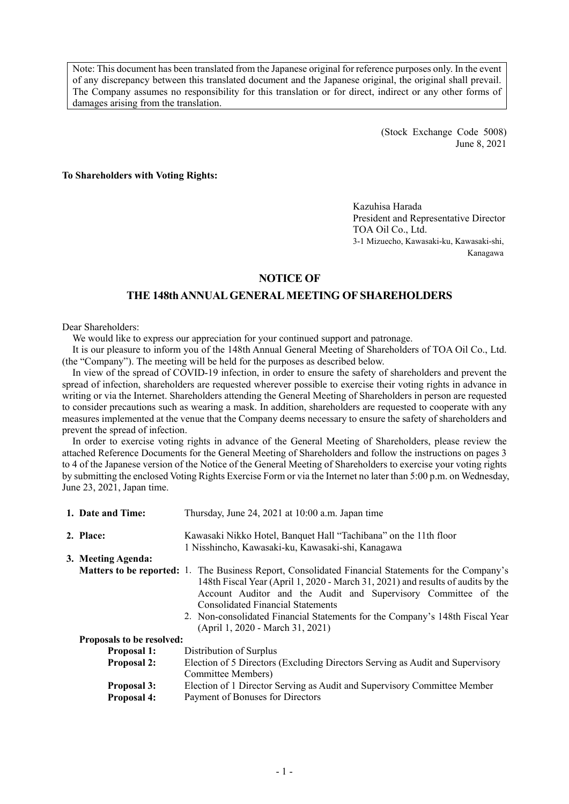Note: This document has been translated from the Japanese original for reference purposes only. In the event of any discrepancy between this translated document and the Japanese original, the original shall prevail. The Company assumes no responsibility for this translation or for direct, indirect or any other forms of damages arising from the translation.

> (Stock Exchange Code 5008) June 8, 2021

#### **To Shareholders with Voting Rights:**

Kazuhisa Harada President and Representative Director TOA Oil Co., Ltd. 3-1 Mizuecho, Kawasaki-ku, Kawasaki-shi, Kanagawa

### **NOTICE OF**

### **THE 148th ANNUAL GENERAL MEETING OF SHAREHOLDERS**

#### Dear Shareholders:

We would like to express our appreciation for your continued support and patronage.

It is our pleasure to inform you of the 148th Annual General Meeting of Shareholders of TOA Oil Co., Ltd. (the "Company"). The meeting will be held for the purposes as described below.

In view of the spread of COVID-19 infection, in order to ensure the safety of shareholders and prevent the spread of infection, shareholders are requested wherever possible to exercise their voting rights in advance in writing or via the Internet. Shareholders attending the General Meeting of Shareholders in person are requested to consider precautions such as wearing a mask. In addition, shareholders are requested to cooperate with any measures implemented at the venue that the Company deems necessary to ensure the safety of shareholders and prevent the spread of infection.

In order to exercise voting rights in advance of the General Meeting of Shareholders, please review the attached Reference Documents for the General Meeting of Shareholders and follow the instructions on pages 3 to 4 of the Japanese version of the Notice of the General Meeting of Shareholders to exercise your voting rights by submitting the enclosed Voting Rights Exercise Form or via the Internet no later than 5:00 p.m. on Wednesday, June 23, 2021, Japan time.

| 1. Date and Time:                | Thursday, June 24, 2021 at 10:00 a.m. Japan time                                                                                                                                                                                                                                                                                                                                                                                |  |  |
|----------------------------------|---------------------------------------------------------------------------------------------------------------------------------------------------------------------------------------------------------------------------------------------------------------------------------------------------------------------------------------------------------------------------------------------------------------------------------|--|--|
| 2. Place:                        | Kawasaki Nikko Hotel, Banquet Hall "Tachibana" on the 11th floor<br>1 Nisshincho, Kawasaki-ku, Kawasaki-shi, Kanagawa                                                                                                                                                                                                                                                                                                           |  |  |
| 3. Meeting Agenda:               |                                                                                                                                                                                                                                                                                                                                                                                                                                 |  |  |
|                                  | <b>Matters to be reported:</b> 1. The Business Report, Consolidated Financial Statements for the Company's<br>148th Fiscal Year (April 1, 2020 - March 31, 2021) and results of audits by the<br>Account Auditor and the Audit and Supervisory Committee of the<br><b>Consolidated Financial Statements</b><br>2. Non-consolidated Financial Statements for the Company's 148th Fiscal Year<br>(April 1, 2020 - March 31, 2021) |  |  |
| <b>Proposals to be resolved:</b> |                                                                                                                                                                                                                                                                                                                                                                                                                                 |  |  |
| <b>Proposal 1:</b>               | Distribution of Surplus                                                                                                                                                                                                                                                                                                                                                                                                         |  |  |
| <b>Proposal 2:</b>               | Election of 5 Directors (Excluding Directors Serving as Audit and Supervisory<br>Committee Members)                                                                                                                                                                                                                                                                                                                             |  |  |
| <b>Proposal 3:</b>               | Election of 1 Director Serving as Audit and Supervisory Committee Member                                                                                                                                                                                                                                                                                                                                                        |  |  |
| Proposal 4:                      | Payment of Bonuses for Directors                                                                                                                                                                                                                                                                                                                                                                                                |  |  |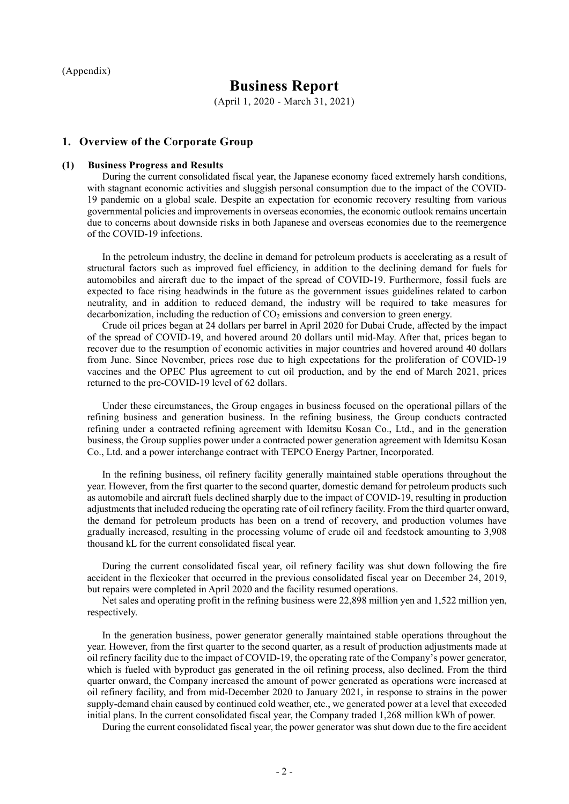(Appendix)

### **Business Report**

(April 1, 2020 - March 31, 2021)

### **1. Overview of the Corporate Group**

#### **(1) Business Progress and Results**

During the current consolidated fiscal year, the Japanese economy faced extremely harsh conditions, with stagnant economic activities and sluggish personal consumption due to the impact of the COVID-19 pandemic on a global scale. Despite an expectation for economic recovery resulting from various governmental policies and improvements in overseas economies, the economic outlook remains uncertain due to concerns about downside risks in both Japanese and overseas economies due to the reemergence of the COVID-19 infections.

In the petroleum industry, the decline in demand for petroleum products is accelerating as a result of structural factors such as improved fuel efficiency, in addition to the declining demand for fuels for automobiles and aircraft due to the impact of the spread of COVID-19. Furthermore, fossil fuels are expected to face rising headwinds in the future as the government issues guidelines related to carbon neutrality, and in addition to reduced demand, the industry will be required to take measures for decarbonization, including the reduction of  $CO<sub>2</sub>$  emissions and conversion to green energy.

Crude oil prices began at 24 dollars per barrel in April 2020 for Dubai Crude, affected by the impact of the spread of COVID-19, and hovered around 20 dollars until mid-May. After that, prices began to recover due to the resumption of economic activities in major countries and hovered around 40 dollars from June. Since November, prices rose due to high expectations for the proliferation of COVID-19 vaccines and the OPEC Plus agreement to cut oil production, and by the end of March 2021, prices returned to the pre-COVID-19 level of 62 dollars.

Under these circumstances, the Group engages in business focused on the operational pillars of the refining business and generation business. In the refining business, the Group conducts contracted refining under a contracted refining agreement with Idemitsu Kosan Co., Ltd., and in the generation business, the Group supplies power under a contracted power generation agreement with Idemitsu Kosan Co., Ltd. and a power interchange contract with TEPCO Energy Partner, Incorporated.

In the refining business, oil refinery facility generally maintained stable operations throughout the year. However, from the first quarter to the second quarter, domestic demand for petroleum products such as automobile and aircraft fuels declined sharply due to the impact of COVID-19, resulting in production adjustments that included reducing the operating rate of oil refinery facility. From the third quarter onward, the demand for petroleum products has been on a trend of recovery, and production volumes have gradually increased, resulting in the processing volume of crude oil and feedstock amounting to 3,908 thousand kL for the current consolidated fiscal year.

During the current consolidated fiscal year, oil refinery facility was shut down following the fire accident in the flexicoker that occurred in the previous consolidated fiscal year on December 24, 2019, but repairs were completed in April 2020 and the facility resumed operations.

Net sales and operating profit in the refining business were 22,898 million yen and 1,522 million yen, respectively.

In the generation business, power generator generally maintained stable operations throughout the year. However, from the first quarter to the second quarter, as a result of production adjustments made at oil refinery facility due to the impact of COVID-19, the operating rate of the Company's power generator, which is fueled with byproduct gas generated in the oil refining process, also declined. From the third quarter onward, the Company increased the amount of power generated as operations were increased at oil refinery facility, and from mid-December 2020 to January 2021, in response to strains in the power supply-demand chain caused by continued cold weather, etc., we generated power at a level that exceeded initial plans. In the current consolidated fiscal year, the Company traded 1,268 million kWh of power.

During the current consolidated fiscal year, the power generator was shut down due to the fire accident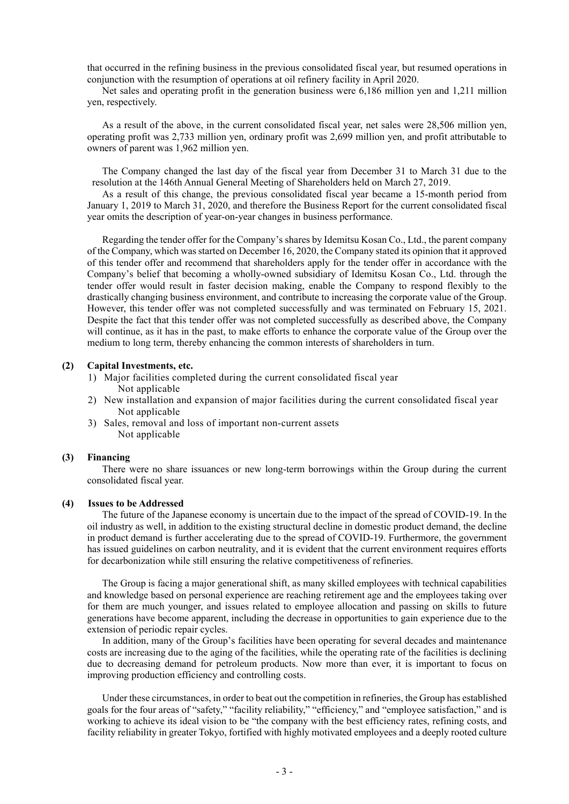that occurred in the refining business in the previous consolidated fiscal year, but resumed operations in conjunction with the resumption of operations at oil refinery facility in April 2020.

Net sales and operating profit in the generation business were 6,186 million yen and 1,211 million yen, respectively.

As a result of the above, in the current consolidated fiscal year, net sales were 28,506 million yen, operating profit was 2,733 million yen, ordinary profit was 2,699 million yen, and profit attributable to owners of parent was 1,962 million yen.

The Company changed the last day of the fiscal year from December 31 to March 31 due to the resolution at the 146th Annual General Meeting of Shareholders held on March 27, 2019.

As a result of this change, the previous consolidated fiscal year became a 15-month period from January 1, 2019 to March 31, 2020, and therefore the Business Report for the current consolidated fiscal year omits the description of year-on-year changes in business performance.

Regarding the tender offer for the Company's shares by Idemitsu Kosan Co., Ltd., the parent company of the Company, which was started on December 16, 2020, the Company stated its opinion that it approved of this tender offer and recommend that shareholders apply for the tender offer in accordance with the Company's belief that becoming a wholly-owned subsidiary of Idemitsu Kosan Co., Ltd. through the tender offer would result in faster decision making, enable the Company to respond flexibly to the drastically changing business environment, and contribute to increasing the corporate value of the Group. However, this tender offer was not completed successfully and was terminated on February 15, 2021. Despite the fact that this tender offer was not completed successfully as described above, the Company will continue, as it has in the past, to make efforts to enhance the corporate value of the Group over the medium to long term, thereby enhancing the common interests of shareholders in turn.

#### **(2) Capital Investments, etc.**

- 1) Major facilities completed during the current consolidated fiscal year Not applicable
- 2) New installation and expansion of major facilities during the current consolidated fiscal year Not applicable
- 3) Sales, removal and loss of important non-current assets Not applicable

#### **(3) Financing**

There were no share issuances or new long-term borrowings within the Group during the current consolidated fiscal year.

#### **(4) Issues to be Addressed**

The future of the Japanese economy is uncertain due to the impact of the spread of COVID-19. In the oil industry as well, in addition to the existing structural decline in domestic product demand, the decline in product demand is further accelerating due to the spread of COVID-19. Furthermore, the government has issued guidelines on carbon neutrality, and it is evident that the current environment requires efforts for decarbonization while still ensuring the relative competitiveness of refineries.

The Group is facing a major generational shift, as many skilled employees with technical capabilities and knowledge based on personal experience are reaching retirement age and the employees taking over for them are much younger, and issues related to employee allocation and passing on skills to future generations have become apparent, including the decrease in opportunities to gain experience due to the extension of periodic repair cycles.

In addition, many of the Group's facilities have been operating for several decades and maintenance costs are increasing due to the aging of the facilities, while the operating rate of the facilities is declining due to decreasing demand for petroleum products. Now more than ever, it is important to focus on improving production efficiency and controlling costs.

Under these circumstances, in order to beat out the competition in refineries, the Group has established goals for the four areas of "safety," "facility reliability," "efficiency," and "employee satisfaction," and is working to achieve its ideal vision to be "the company with the best efficiency rates, refining costs, and facility reliability in greater Tokyo, fortified with highly motivated employees and a deeply rooted culture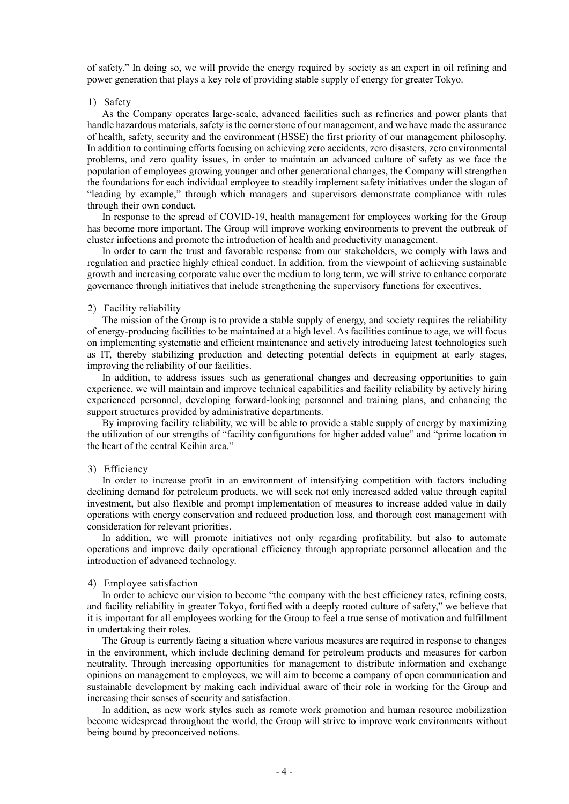of safety." In doing so, we will provide the energy required by society as an expert in oil refining and power generation that plays a key role of providing stable supply of energy for greater Tokyo.

#### 1) Safety

As the Company operates large-scale, advanced facilities such as refineries and power plants that handle hazardous materials, safety is the cornerstone of our management, and we have made the assurance of health, safety, security and the environment (HSSE) the first priority of our management philosophy. In addition to continuing efforts focusing on achieving zero accidents, zero disasters, zero environmental problems, and zero quality issues, in order to maintain an advanced culture of safety as we face the population of employees growing younger and other generational changes, the Company will strengthen the foundations for each individual employee to steadily implement safety initiatives under the slogan of "leading by example," through which managers and supervisors demonstrate compliance with rules through their own conduct.

In response to the spread of COVID-19, health management for employees working for the Group has become more important. The Group will improve working environments to prevent the outbreak of cluster infections and promote the introduction of health and productivity management.

In order to earn the trust and favorable response from our stakeholders, we comply with laws and regulation and practice highly ethical conduct. In addition, from the viewpoint of achieving sustainable growth and increasing corporate value over the medium to long term, we will strive to enhance corporate governance through initiatives that include strengthening the supervisory functions for executives.

#### 2) Facility reliability

The mission of the Group is to provide a stable supply of energy, and society requires the reliability of energy-producing facilities to be maintained at a high level. As facilities continue to age, we will focus on implementing systematic and efficient maintenance and actively introducing latest technologies such as IT, thereby stabilizing production and detecting potential defects in equipment at early stages, improving the reliability of our facilities.

In addition, to address issues such as generational changes and decreasing opportunities to gain experience, we will maintain and improve technical capabilities and facility reliability by actively hiring experienced personnel, developing forward-looking personnel and training plans, and enhancing the support structures provided by administrative departments.

By improving facility reliability, we will be able to provide a stable supply of energy by maximizing the utilization of our strengths of "facility configurations for higher added value" and "prime location in the heart of the central Keihin area."

#### 3) Efficiency

In order to increase profit in an environment of intensifying competition with factors including declining demand for petroleum products, we will seek not only increased added value through capital investment, but also flexible and prompt implementation of measures to increase added value in daily operations with energy conservation and reduced production loss, and thorough cost management with consideration for relevant priorities.

In addition, we will promote initiatives not only regarding profitability, but also to automate operations and improve daily operational efficiency through appropriate personnel allocation and the introduction of advanced technology.

#### 4) Employee satisfaction

In order to achieve our vision to become "the company with the best efficiency rates, refining costs, and facility reliability in greater Tokyo, fortified with a deeply rooted culture of safety," we believe that it is important for all employees working for the Group to feel a true sense of motivation and fulfillment in undertaking their roles.

The Group is currently facing a situation where various measures are required in response to changes in the environment, which include declining demand for petroleum products and measures for carbon neutrality. Through increasing opportunities for management to distribute information and exchange opinions on management to employees, we will aim to become a company of open communication and sustainable development by making each individual aware of their role in working for the Group and increasing their senses of security and satisfaction.

In addition, as new work styles such as remote work promotion and human resource mobilization become widespread throughout the world, the Group will strive to improve work environments without being bound by preconceived notions.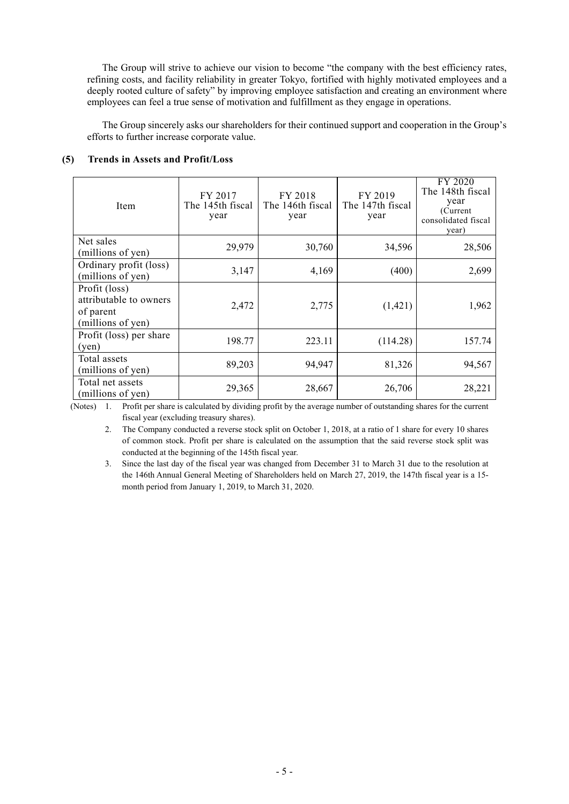The Group will strive to achieve our vision to become "the company with the best efficiency rates, refining costs, and facility reliability in greater Tokyo, fortified with highly motivated employees and a deeply rooted culture of safety" by improving employee satisfaction and creating an environment where employees can feel a true sense of motivation and fulfillment as they engage in operations.

The Group sincerely asks our shareholders for their continued support and cooperation in the Group's efforts to further increase corporate value.

| Item                                                                      | FY 2017<br>The 145th fiscal<br>year | FY 2018<br>The 146th fiscal<br>year | FY 2019<br>The 147th fiscal<br>year | FY 2020<br>The 148th fiscal<br>year<br>(Current)<br>consolidated fiscal<br>year) |
|---------------------------------------------------------------------------|-------------------------------------|-------------------------------------|-------------------------------------|----------------------------------------------------------------------------------|
| Net sales<br>(millions of yen)                                            | 29,979                              | 30,760                              | 34,596                              | 28,506                                                                           |
| Ordinary profit (loss)<br>(millions of yen)                               | 3,147                               | 4,169                               | (400)                               | 2,699                                                                            |
| Profit (loss)<br>attributable to owners<br>of parent<br>(millions of yen) | 2,472                               | 2,775                               | (1,421)                             | 1,962                                                                            |
| Profit (loss) per share<br>(ven)                                          | 198.77                              | 223.11                              | (114.28)                            | 157.74                                                                           |
| Total assets<br>(millions of yen)                                         | 89,203                              | 94,947                              | 81,326                              | 94,567                                                                           |
| Total net assets<br>(millions of yen)                                     | 29,365                              | 28,667                              | 26,706                              | 28,221                                                                           |

### **(5) Trends in Assets and Profit/Loss**

(Notes) 1. Profit per share is calculated by dividing profit by the average number of outstanding shares for the current fiscal year (excluding treasury shares).

 2. The Company conducted a reverse stock split on October 1, 2018, at a ratio of 1 share for every 10 shares of common stock. Profit per share is calculated on the assumption that the said reverse stock split was conducted at the beginning of the 145th fiscal year.

 3. Since the last day of the fiscal year was changed from December 31 to March 31 due to the resolution at the 146th Annual General Meeting of Shareholders held on March 27, 2019, the 147th fiscal year is a 15 month period from January 1, 2019, to March 31, 2020.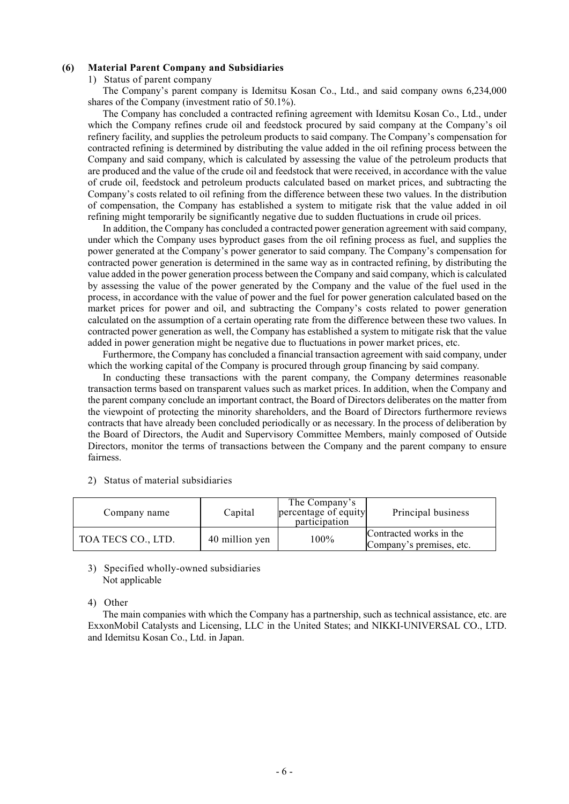### **(6) Material Parent Company and Subsidiaries**

1) Status of parent company

The Company's parent company is Idemitsu Kosan Co., Ltd., and said company owns 6,234,000 shares of the Company (investment ratio of 50.1%).

The Company has concluded a contracted refining agreement with Idemitsu Kosan Co., Ltd., under which the Company refines crude oil and feedstock procured by said company at the Company's oil refinery facility, and supplies the petroleum products to said company. The Company's compensation for contracted refining is determined by distributing the value added in the oil refining process between the Company and said company, which is calculated by assessing the value of the petroleum products that are produced and the value of the crude oil and feedstock that were received, in accordance with the value of crude oil, feedstock and petroleum products calculated based on market prices, and subtracting the Company's costs related to oil refining from the difference between these two values. In the distribution of compensation, the Company has established a system to mitigate risk that the value added in oil refining might temporarily be significantly negative due to sudden fluctuations in crude oil prices.

In addition, the Company has concluded a contracted power generation agreement with said company, under which the Company uses byproduct gases from the oil refining process as fuel, and supplies the power generated at the Company's power generator to said company. The Company's compensation for contracted power generation is determined in the same way as in contracted refining, by distributing the value added in the power generation process between the Company and said company, which is calculated by assessing the value of the power generated by the Company and the value of the fuel used in the process, in accordance with the value of power and the fuel for power generation calculated based on the market prices for power and oil, and subtracting the Company's costs related to power generation calculated on the assumption of a certain operating rate from the difference between these two values. In contracted power generation as well, the Company has established a system to mitigate risk that the value added in power generation might be negative due to fluctuations in power market prices, etc.

Furthermore, the Company has concluded a financial transaction agreement with said company, under which the working capital of the Company is procured through group financing by said company.

In conducting these transactions with the parent company, the Company determines reasonable transaction terms based on transparent values such as market prices. In addition, when the Company and the parent company conclude an important contract, the Board of Directors deliberates on the matter from the viewpoint of protecting the minority shareholders, and the Board of Directors furthermore reviews contracts that have already been concluded periodically or as necessary. In the process of deliberation by the Board of Directors, the Audit and Supervisory Committee Members, mainly composed of Outside Directors, monitor the terms of transactions between the Company and the parent company to ensure fairness.

2) Status of material subsidiaries

| Company name       | Capital        | The Company's<br>percentage of equity<br>participation | Principal business                                  |
|--------------------|----------------|--------------------------------------------------------|-----------------------------------------------------|
| TOA TECS CO., LTD. | 40 million yen | 100%                                                   | Contracted works in the<br>Company's premises, etc. |

- 3) Specified wholly-owned subsidiaries Not applicable
- 4) Other

The main companies with which the Company has a partnership, such as technical assistance, etc. are ExxonMobil Catalysts and Licensing, LLC in the United States; and NIKKI-UNIVERSAL CO., LTD. and Idemitsu Kosan Co., Ltd. in Japan.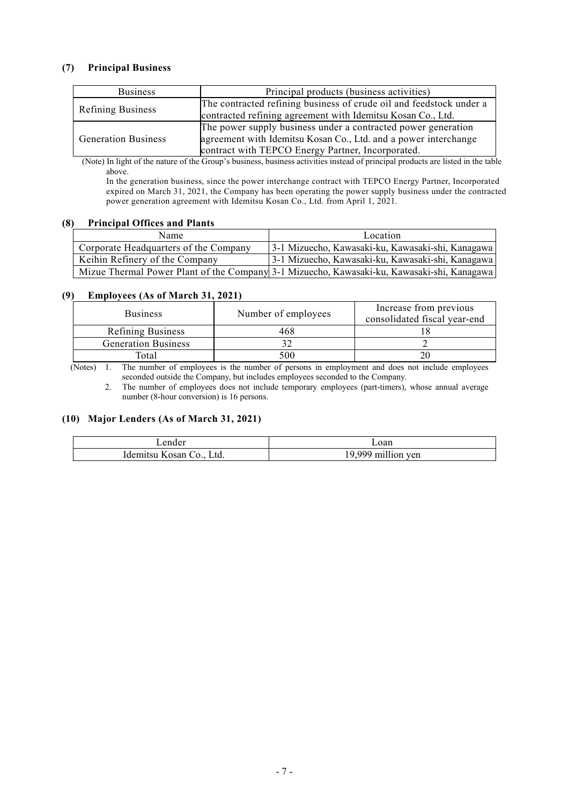### **(7) Principal Business**

| <b>Business</b>            | Principal products (business activities)                                                                                                                                              |
|----------------------------|---------------------------------------------------------------------------------------------------------------------------------------------------------------------------------------|
| <b>Refining Business</b>   | The contracted refining business of crude oil and feedstock under a<br>contracted refining agreement with Idemitsu Kosan Co., Ltd.                                                    |
| <b>Generation Business</b> | The power supply business under a contracted power generation<br>agreement with Idemitsu Kosan Co., Ltd. and a power interchange<br>contract with TEPCO Energy Partner, Incorporated. |

(Note) In light of the nature of the Group's business, business activities instead of principal products are listed in the table above.

In the generation business, since the power interchange contract with TEPCO Energy Partner, Incorporated expired on March 31, 2021, the Company has been operating the power supply business under the contracted power generation agreement with Idemitsu Kosan Co., Ltd. from April 1, 2021.

### **(8) Principal Offices and Plants**

| Name                                  | Location                                                                                   |
|---------------------------------------|--------------------------------------------------------------------------------------------|
| Corporate Headquarters of the Company | [3-1 Mizuecho, Kawasaki-ku, Kawasaki-shi, Kanagawa]                                        |
| Keihin Refinery of the Company        | 3-1 Mizuecho, Kawasaki-ku, Kawasaki-shi, Kanagawa                                          |
|                                       | Mizue Thermal Power Plant of the Company 3-1 Mizuecho, Kawasaki-ku, Kawasaki-shi, Kanagawa |

### **(9) Employees (As of March 31, 2021)**

| <b>Business</b>            | Number of employees | Increase from previous<br>consolidated fiscal year-end |
|----------------------------|---------------------|--------------------------------------------------------|
| <b>Refining Business</b>   | 168                 |                                                        |
| <b>Generation Business</b> |                     |                                                        |
| Total                      | 500                 |                                                        |

(Notes) 1. The number of employees is the number of persons in employment and does not include employees seconded outside the Company, but includes employees seconded to the Company.

 2. The number of employees does not include temporary employees (part-timers), whose annual average number (8-hour conversion) is 16 persons.

### **(10) Major Lenders (As of March 31, 2021)**

| ender                     | ∠oan                                  |
|---------------------------|---------------------------------------|
| Ltd.<br>Idemitsu Kosan Co | <br>0.999 <sub>1</sub><br>million ven |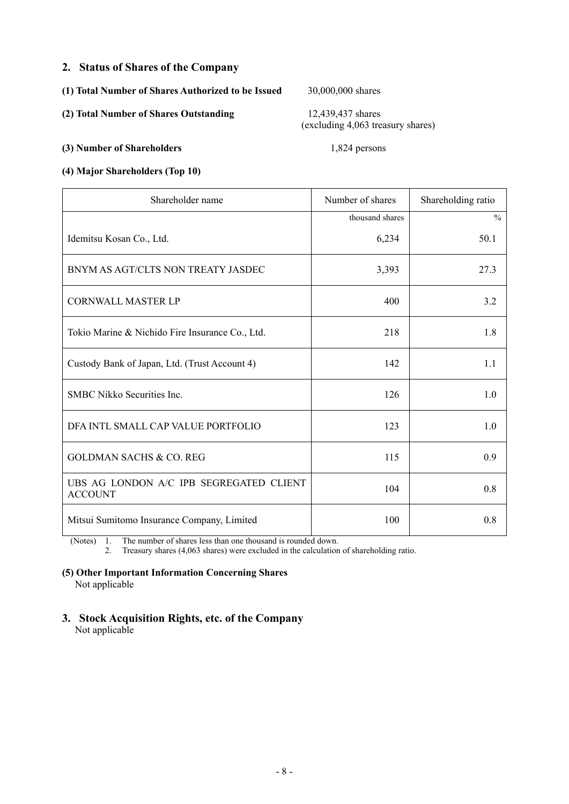### **2. Status of Shares of the Company**

### **(1) Total Number of Shares Authorized to be Issued** 30,000,000 shares

### **(2) Total Number of Shares Outstanding** 12,439,437 shares

# (excluding 4,063 treasury shares)

### **(3) Number of Shareholders** 1,824 persons

### **(4) Major Shareholders (Top 10)**

| Shareholder name                                          | Number of shares | Shareholding ratio |
|-----------------------------------------------------------|------------------|--------------------|
|                                                           | thousand shares  | $\frac{0}{0}$      |
| Idemitsu Kosan Co., Ltd.                                  | 6,234            | 50.1               |
| BNYM AS AGT/CLTS NON TREATY JASDEC                        | 3,393            | 27.3               |
| <b>CORNWALL MASTER LP</b>                                 | 400              | 3.2                |
| Tokio Marine & Nichido Fire Insurance Co., Ltd.           | 218              | 1.8                |
| Custody Bank of Japan, Ltd. (Trust Account 4)             | 142              | 1.1                |
| SMBC Nikko Securities Inc.                                | 126              | 1.0                |
| DFA INTL SMALL CAP VALUE PORTFOLIO                        | 123              | 1.0                |
| <b>GOLDMAN SACHS &amp; CO. REG</b>                        | 115              | 0.9                |
| UBS AG LONDON A/C IPB SEGREGATED CLIENT<br><b>ACCOUNT</b> | 104              | 0.8                |
| Mitsui Sumitomo Insurance Company, Limited                | 100              | 0.8                |

(Notes) 1. The number of shares less than one thousand is rounded down.<br>2. Treasury shares (4.063 shares) were excluded in the calculation

2. Treasury shares (4,063 shares) were excluded in the calculation of shareholding ratio.

### **(5) Other Important Information Concerning Shares** Not applicable

**3. Stock Acquisition Rights, etc. of the Company** Not applicable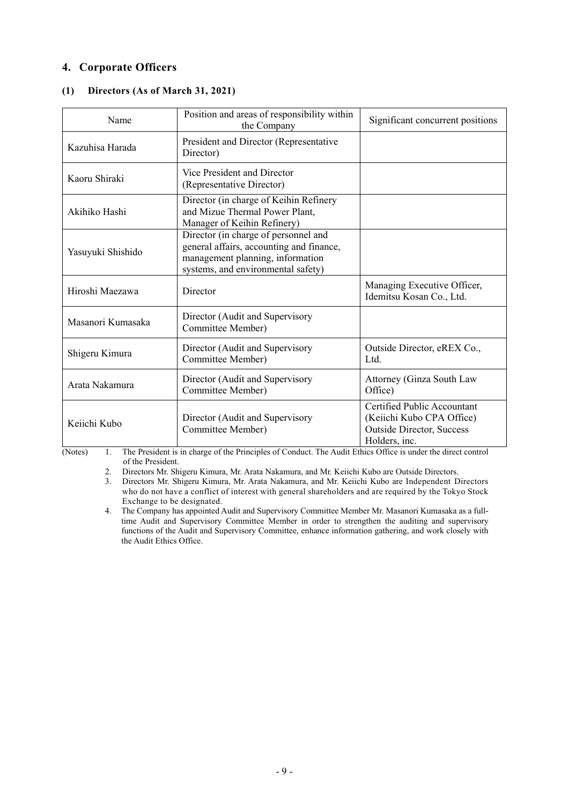### **4. Corporate Officers**

### **(1) Directors (As of March 31, 2021)**

| Position and areas of responsibility within<br>Name<br>the Company |                                                                                                                                                            | Significant concurrent positions                                                                              |
|--------------------------------------------------------------------|------------------------------------------------------------------------------------------------------------------------------------------------------------|---------------------------------------------------------------------------------------------------------------|
| Kazuhisa Harada                                                    | President and Director (Representative<br>Director)                                                                                                        |                                                                                                               |
| Kaoru Shiraki                                                      | Vice President and Director<br>(Representative Director)                                                                                                   |                                                                                                               |
| Akihiko Hashi                                                      | Director (in charge of Keihin Refinery<br>and Mizue Thermal Power Plant,<br>Manager of Keihin Refinery)                                                    |                                                                                                               |
| Yasuyuki Shishido                                                  | Director (in charge of personnel and<br>general affairs, accounting and finance,<br>management planning, information<br>systems, and environmental safety) |                                                                                                               |
| Hiroshi Maezawa                                                    | Director                                                                                                                                                   | Managing Executive Officer,<br>Idemitsu Kosan Co., Ltd.                                                       |
| Masanori Kumasaka                                                  | Director (Audit and Supervisory<br>Committee Member)                                                                                                       |                                                                                                               |
| Shigeru Kimura                                                     | Director (Audit and Supervisory<br>Committee Member)                                                                                                       | Outside Director, eREX Co.,<br>Ltd.                                                                           |
| Arata Nakamura                                                     | Director (Audit and Supervisory<br>Committee Member)                                                                                                       | Attorney (Ginza South Law<br>Office)                                                                          |
| Keiichi Kubo                                                       | Director (Audit and Supervisory<br>Committee Member)                                                                                                       | Certified Public Accountant<br>(Keiichi Kubo CPA Office)<br><b>Outside Director, Success</b><br>Holders, inc. |

(Notes) 1. The President is in charge of the Principles of Conduct. The Audit Ethics Office is under the direct control of the President.

2. Directors Mr. Shigeru Kimura, Mr. Arata Nakamura, and Mr. Keiichi Kubo are Outside Directors.<br>3. Directors Mr. Shigeru Kimura, Mr. Arata Nakamura, and Mr. Keiichi Kubo are Independent D Directors Mr. Shigeru Kimura, Mr. Arata Nakamura, and Mr. Keiichi Kubo are Independent Directors who do not have a conflict of interest with general shareholders and are required by the Tokyo Stock Exchange to be designated.

4. The Company has appointed Audit and Supervisory Committee Member Mr. Masanori Kumasaka as a fulltime Audit and Supervisory Committee Member in order to strengthen the auditing and supervisory functions of the Audit and Supervisory Committee, enhance information gathering, and work closely with the Audit Ethics Office.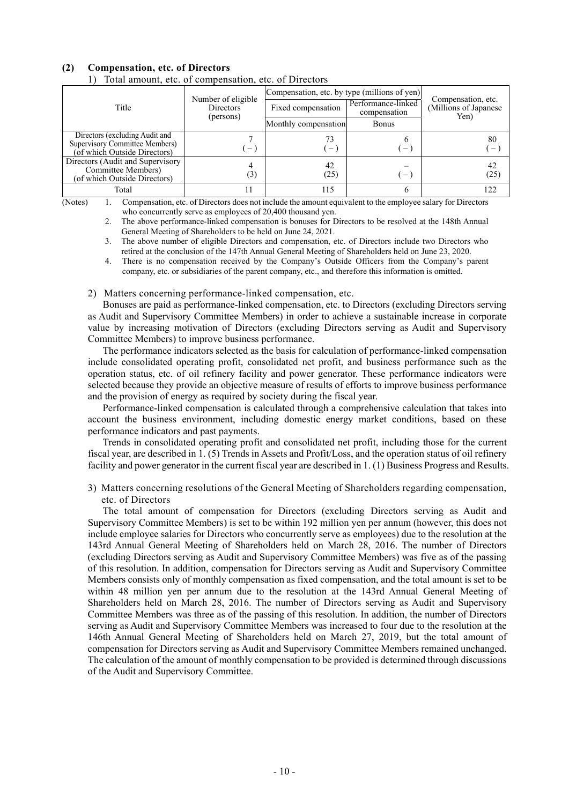### **(2) Compensation, etc. of Directors**

|  |  |  |  |  |  | 1) Total amount, etc. of compensation, etc. of Directors |
|--|--|--|--|--|--|----------------------------------------------------------|
|--|--|--|--|--|--|----------------------------------------------------------|

|                                                                                                  |                                              | Compensation, etc. by type (millions of yen) |                                    |                                                     |
|--------------------------------------------------------------------------------------------------|----------------------------------------------|----------------------------------------------|------------------------------------|-----------------------------------------------------|
| Title                                                                                            | Number of eligible<br>Directors<br>(persons) | Fixed compensation                           | Performance-linked<br>compensation | Compensation, etc.<br>(Millions of Japanese<br>Yen) |
|                                                                                                  |                                              | Monthly compensation                         | <b>Bonus</b>                       |                                                     |
| Directors (excluding Audit and<br>Supervisory Committee Members)<br>(of which Outside Directors) |                                              |                                              | $\qquad \qquad \longleftarrow$     | 80                                                  |
| Directors (Audit and Supervisory<br>Committee Members)<br>(of which Outside Directors)           | (3)                                          | 42<br>(25)                                   | $\qquad \qquad \longleftarrow$     | 42<br>(25)                                          |
| Total                                                                                            |                                              | 115                                          | b                                  | 122                                                 |

(Notes) 1. Compensation, etc. of Directors does not include the amount equivalent to the employee salary for Directors who concurrently serve as employees of 20,400 thousand yen.

2. The above performance-linked compensation is bonuses for Directors to be resolved at the 148th Annual General Meeting of Shareholders to be held on June 24, 2021.

3. The above number of eligible Directors and compensation, etc. of Directors include two Directors who retired at the conclusion of the 147th Annual General Meeting of Shareholders held on June 23, 2020.

4. There is no compensation received by the Company's Outside Officers from the Company's parent company, etc. or subsidiaries of the parent company, etc., and therefore this information is omitted.

2) Matters concerning performance-linked compensation, etc.

Bonuses are paid as performance-linked compensation, etc. to Directors (excluding Directors serving as Audit and Supervisory Committee Members) in order to achieve a sustainable increase in corporate value by increasing motivation of Directors (excluding Directors serving as Audit and Supervisory Committee Members) to improve business performance.

The performance indicators selected as the basis for calculation of performance-linked compensation include consolidated operating profit, consolidated net profit, and business performance such as the operation status, etc. of oil refinery facility and power generator. These performance indicators were selected because they provide an objective measure of results of efforts to improve business performance and the provision of energy as required by society during the fiscal year.

Performance-linked compensation is calculated through a comprehensive calculation that takes into account the business environment, including domestic energy market conditions, based on these performance indicators and past payments.

Trends in consolidated operating profit and consolidated net profit, including those for the current fiscal year, are described in 1. (5) Trends in Assets and Profit/Loss, and the operation status of oil refinery facility and power generator in the current fiscal year are described in 1. (1) Business Progress and Results.

### 3) Matters concerning resolutions of the General Meeting of Shareholders regarding compensation, etc. of Directors

The total amount of compensation for Directors (excluding Directors serving as Audit and Supervisory Committee Members) is set to be within 192 million yen per annum (however, this does not include employee salaries for Directors who concurrently serve as employees) due to the resolution at the 143rd Annual General Meeting of Shareholders held on March 28, 2016. The number of Directors (excluding Directors serving as Audit and Supervisory Committee Members) was five as of the passing of this resolution. In addition, compensation for Directors serving as Audit and Supervisory Committee Members consists only of monthly compensation as fixed compensation, and the total amount is set to be within 48 million yen per annum due to the resolution at the 143rd Annual General Meeting of Shareholders held on March 28, 2016. The number of Directors serving as Audit and Supervisory Committee Members was three as of the passing of this resolution. In addition, the number of Directors serving as Audit and Supervisory Committee Members was increased to four due to the resolution at the 146th Annual General Meeting of Shareholders held on March 27, 2019, but the total amount of compensation for Directors serving as Audit and Supervisory Committee Members remained unchanged. The calculation of the amount of monthly compensation to be provided is determined through discussions of the Audit and Supervisory Committee.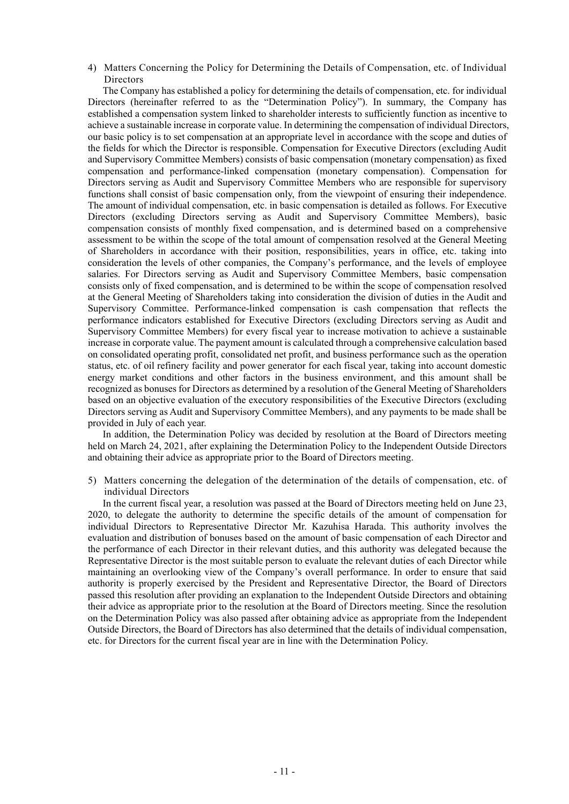4) Matters Concerning the Policy for Determining the Details of Compensation, etc. of Individual **Directors** 

The Company has established a policy for determining the details of compensation, etc. for individual Directors (hereinafter referred to as the "Determination Policy"). In summary, the Company has established a compensation system linked to shareholder interests to sufficiently function as incentive to achieve a sustainable increase in corporate value. In determining the compensation of individual Directors, our basic policy is to set compensation at an appropriate level in accordance with the scope and duties of the fields for which the Director is responsible. Compensation for Executive Directors (excluding Audit and Supervisory Committee Members) consists of basic compensation (monetary compensation) as fixed compensation and performance-linked compensation (monetary compensation). Compensation for Directors serving as Audit and Supervisory Committee Members who are responsible for supervisory functions shall consist of basic compensation only, from the viewpoint of ensuring their independence. The amount of individual compensation, etc. in basic compensation is detailed as follows. For Executive Directors (excluding Directors serving as Audit and Supervisory Committee Members), basic compensation consists of monthly fixed compensation, and is determined based on a comprehensive assessment to be within the scope of the total amount of compensation resolved at the General Meeting of Shareholders in accordance with their position, responsibilities, years in office, etc. taking into consideration the levels of other companies, the Company's performance, and the levels of employee salaries. For Directors serving as Audit and Supervisory Committee Members, basic compensation consists only of fixed compensation, and is determined to be within the scope of compensation resolved at the General Meeting of Shareholders taking into consideration the division of duties in the Audit and Supervisory Committee. Performance-linked compensation is cash compensation that reflects the performance indicators established for Executive Directors (excluding Directors serving as Audit and Supervisory Committee Members) for every fiscal year to increase motivation to achieve a sustainable increase in corporate value. The payment amount is calculated through a comprehensive calculation based on consolidated operating profit, consolidated net profit, and business performance such as the operation status, etc. of oil refinery facility and power generator for each fiscal year, taking into account domestic energy market conditions and other factors in the business environment, and this amount shall be recognized as bonuses for Directors as determined by a resolution of the General Meeting of Shareholders based on an objective evaluation of the executory responsibilities of the Executive Directors (excluding Directors serving as Audit and Supervisory Committee Members), and any payments to be made shall be provided in July of each year.

In addition, the Determination Policy was decided by resolution at the Board of Directors meeting held on March 24, 2021, after explaining the Determination Policy to the Independent Outside Directors and obtaining their advice as appropriate prior to the Board of Directors meeting.

5) Matters concerning the delegation of the determination of the details of compensation, etc. of individual Directors

In the current fiscal year, a resolution was passed at the Board of Directors meeting held on June 23, 2020, to delegate the authority to determine the specific details of the amount of compensation for individual Directors to Representative Director Mr. Kazuhisa Harada. This authority involves the evaluation and distribution of bonuses based on the amount of basic compensation of each Director and the performance of each Director in their relevant duties, and this authority was delegated because the Representative Director is the most suitable person to evaluate the relevant duties of each Director while maintaining an overlooking view of the Company's overall performance. In order to ensure that said authority is properly exercised by the President and Representative Director, the Board of Directors passed this resolution after providing an explanation to the Independent Outside Directors and obtaining their advice as appropriate prior to the resolution at the Board of Directors meeting. Since the resolution on the Determination Policy was also passed after obtaining advice as appropriate from the Independent Outside Directors, the Board of Directors has also determined that the details of individual compensation, etc. for Directors for the current fiscal year are in line with the Determination Policy.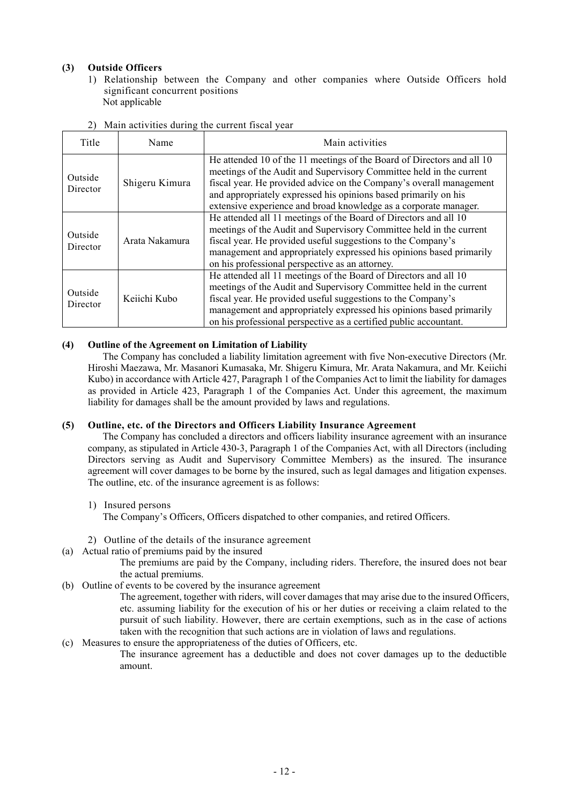### **(3) Outside Officers**

1) Relationship between the Company and other companies where Outside Officers hold significant concurrent positions Not applicable

| Title               | Name           | Main activities                                                                                                                                                                                                                                                                                                                                             |
|---------------------|----------------|-------------------------------------------------------------------------------------------------------------------------------------------------------------------------------------------------------------------------------------------------------------------------------------------------------------------------------------------------------------|
| Outside<br>Director | Shigeru Kimura | He attended 10 of the 11 meetings of the Board of Directors and all 10<br>meetings of the Audit and Supervisory Committee held in the current<br>fiscal year. He provided advice on the Company's overall management<br>and appropriately expressed his opinions based primarily on his<br>extensive experience and broad knowledge as a corporate manager. |
| Outside<br>Director | Arata Nakamura | He attended all 11 meetings of the Board of Directors and all 10<br>meetings of the Audit and Supervisory Committee held in the current<br>fiscal year. He provided useful suggestions to the Company's<br>management and appropriately expressed his opinions based primarily<br>on his professional perspective as an attorney.                           |
| Outside<br>Director | Keiichi Kubo   | He attended all 11 meetings of the Board of Directors and all 10<br>meetings of the Audit and Supervisory Committee held in the current<br>fiscal year. He provided useful suggestions to the Company's<br>management and appropriately expressed his opinions based primarily<br>on his professional perspective as a certified public accountant.         |

2) Main activities during the current fiscal year

### **(4) Outline of the Agreement on Limitation of Liability**

The Company has concluded a liability limitation agreement with five Non-executive Directors (Mr. Hiroshi Maezawa, Mr. Masanori Kumasaka, Mr. Shigeru Kimura, Mr. Arata Nakamura, and Mr. Keiichi Kubo) in accordance with Article 427, Paragraph 1 of the Companies Act to limit the liability for damages as provided in Article 423, Paragraph 1 of the Companies Act. Under this agreement, the maximum liability for damages shall be the amount provided by laws and regulations.

### **(5) Outline, etc. of the Directors and Officers Liability Insurance Agreement**

The Company has concluded a directors and officers liability insurance agreement with an insurance company, as stipulated in Article 430-3, Paragraph 1 of the Companies Act, with all Directors (including Directors serving as Audit and Supervisory Committee Members) as the insured. The insurance agreement will cover damages to be borne by the insured, such as legal damages and litigation expenses. The outline, etc. of the insurance agreement is as follows:

1) Insured persons

The Company's Officers, Officers dispatched to other companies, and retired Officers.

- 2) Outline of the details of the insurance agreement
- (a) Actual ratio of premiums paid by the insured

The premiums are paid by the Company, including riders. Therefore, the insured does not bear the actual premiums.

- (b) Outline of events to be covered by the insurance agreement
	- The agreement, together with riders, will cover damages that may arise due to the insured Officers, etc. assuming liability for the execution of his or her duties or receiving a claim related to the pursuit of such liability. However, there are certain exemptions, such as in the case of actions taken with the recognition that such actions are in violation of laws and regulations.
- (c) Measures to ensure the appropriateness of the duties of Officers, etc. The insurance agreement has a deductible and does not cover damages up to the deductible amount.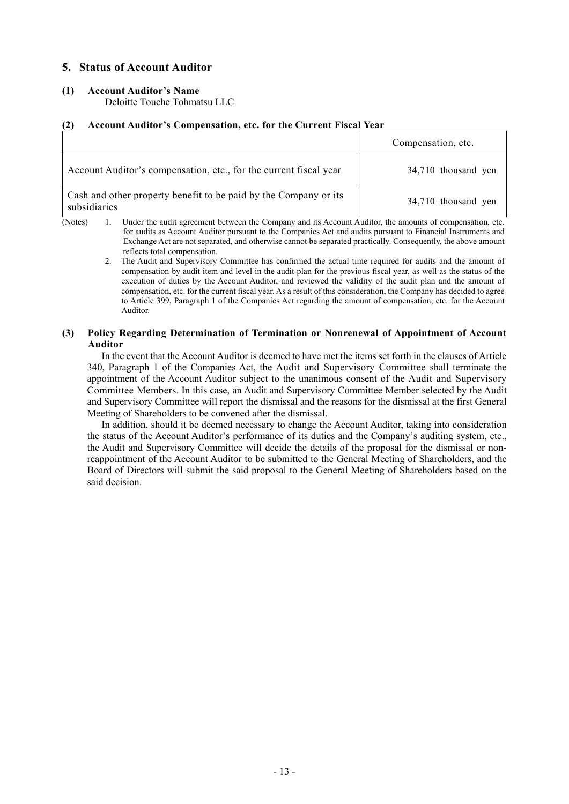### **5. Status of Account Auditor**

### **(1) Account Auditor's Name**

Deloitte Touche Tohmatsu LLC

### **(2) Account Auditor's Compensation, etc. for the Current Fiscal Year**

|                                                                                  | Compensation, etc.  |
|----------------------------------------------------------------------------------|---------------------|
| Account Auditor's compensation, etc., for the current fiscal year                | 34,710 thousand yen |
| Cash and other property benefit to be paid by the Company or its<br>subsidiaries | 34,710 thousand yen |

(Notes) 1. Under the audit agreement between the Company and its Account Auditor, the amounts of compensation, etc. for audits as Account Auditor pursuant to the Companies Act and audits pursuant to Financial Instruments and Exchange Act are not separated, and otherwise cannot be separated practically. Consequently, the above amount reflects total compensation.

2. The Audit and Supervisory Committee has confirmed the actual time required for audits and the amount of compensation by audit item and level in the audit plan for the previous fiscal year, as well as the status of the execution of duties by the Account Auditor, and reviewed the validity of the audit plan and the amount of compensation, etc. for the current fiscal year. As a result of this consideration, the Company has decided to agree to Article 399, Paragraph 1 of the Companies Act regarding the amount of compensation, etc. for the Account Auditor.

### **(3) Policy Regarding Determination of Termination or Nonrenewal of Appointment of Account Auditor**

In the event that the Account Auditor is deemed to have met the items set forth in the clauses of Article 340, Paragraph 1 of the Companies Act, the Audit and Supervisory Committee shall terminate the appointment of the Account Auditor subject to the unanimous consent of the Audit and Supervisory Committee Members. In this case, an Audit and Supervisory Committee Member selected by the Audit and Supervisory Committee will report the dismissal and the reasons for the dismissal at the first General Meeting of Shareholders to be convened after the dismissal.

In addition, should it be deemed necessary to change the Account Auditor, taking into consideration the status of the Account Auditor's performance of its duties and the Company's auditing system, etc., the Audit and Supervisory Committee will decide the details of the proposal for the dismissal or nonreappointment of the Account Auditor to be submitted to the General Meeting of Shareholders, and the Board of Directors will submit the said proposal to the General Meeting of Shareholders based on the said decision.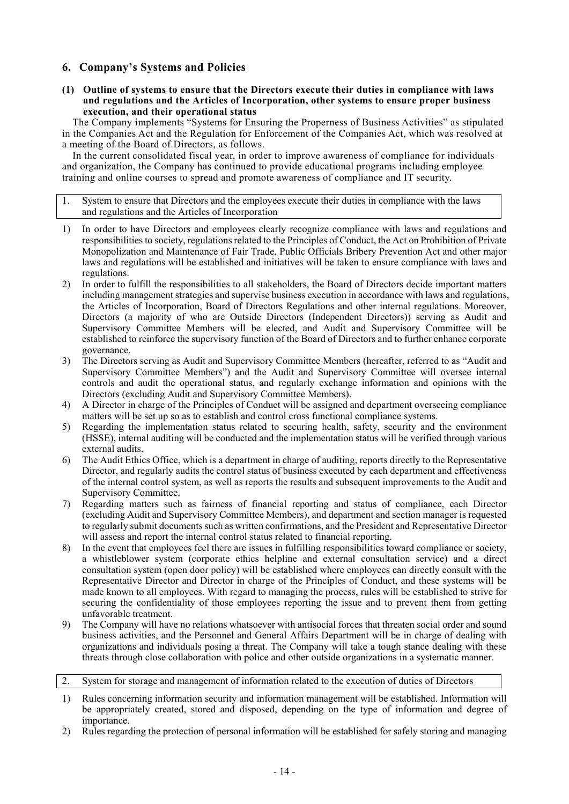### **6. Company's Systems and Policies**

### **(1) Outline of systems to ensure that the Directors execute their duties in compliance with laws and regulations and the Articles of Incorporation, other systems to ensure proper business execution, and their operational status**

The Company implements "Systems for Ensuring the Properness of Business Activities" as stipulated in the Companies Act and the Regulation for Enforcement of the Companies Act, which was resolved at a meeting of the Board of Directors, as follows.

In the current consolidated fiscal year, in order to improve awareness of compliance for individuals and organization, the Company has continued to provide educational programs including employee training and online courses to spread and promote awareness of compliance and IT security.

### 1. System to ensure that Directors and the employees execute their duties in compliance with the laws and regulations and the Articles of Incorporation

- 1) In order to have Directors and employees clearly recognize compliance with laws and regulations and responsibilities to society, regulations related to the Principles of Conduct, the Act on Prohibition of Private Monopolization and Maintenance of Fair Trade, Public Officials Bribery Prevention Act and other major laws and regulations will be established and initiatives will be taken to ensure compliance with laws and regulations.
- 2) In order to fulfill the responsibilities to all stakeholders, the Board of Directors decide important matters including management strategies and supervise business execution in accordance with laws and regulations, the Articles of Incorporation, Board of Directors Regulations and other internal regulations. Moreover, Directors (a majority of who are Outside Directors (Independent Directors)) serving as Audit and Supervisory Committee Members will be elected, and Audit and Supervisory Committee will be established to reinforce the supervisory function of the Board of Directors and to further enhance corporate governance.
- 3) The Directors serving as Audit and Supervisory Committee Members (hereafter, referred to as "Audit and Supervisory Committee Members") and the Audit and Supervisory Committee will oversee internal controls and audit the operational status, and regularly exchange information and opinions with the Directors (excluding Audit and Supervisory Committee Members).
- 4) A Director in charge of the Principles of Conduct will be assigned and department overseeing compliance matters will be set up so as to establish and control cross functional compliance systems.
- 5) Regarding the implementation status related to securing health, safety, security and the environment (HSSE), internal auditing will be conducted and the implementation status will be verified through various external audits.
- 6) The Audit Ethics Office, which is a department in charge of auditing, reports directly to the Representative Director, and regularly audits the control status of business executed by each department and effectiveness of the internal control system, as well as reports the results and subsequent improvements to the Audit and Supervisory Committee.
- 7) Regarding matters such as fairness of financial reporting and status of compliance, each Director (excluding Audit and Supervisory Committee Members), and department and section manager is requested to regularly submit documents such as written confirmations, and the President and Representative Director will assess and report the internal control status related to financial reporting.
- 8) In the event that employees feel there are issues in fulfilling responsibilities toward compliance or society, a whistleblower system (corporate ethics helpline and external consultation service) and a direct consultation system (open door policy) will be established where employees can directly consult with the Representative Director and Director in charge of the Principles of Conduct, and these systems will be made known to all employees. With regard to managing the process, rules will be established to strive for securing the confidentiality of those employees reporting the issue and to prevent them from getting unfavorable treatment.
- 9) The Company will have no relations whatsoever with antisocial forces that threaten social order and sound business activities, and the Personnel and General Affairs Department will be in charge of dealing with organizations and individuals posing a threat. The Company will take a tough stance dealing with these threats through close collaboration with police and other outside organizations in a systematic manner.

2) Rules regarding the protection of personal information will be established for safely storing and managing

<sup>2.</sup> System for storage and management of information related to the execution of duties of Directors

<sup>1)</sup> Rules concerning information security and information management will be established. Information will be appropriately created, stored and disposed, depending on the type of information and degree of importance.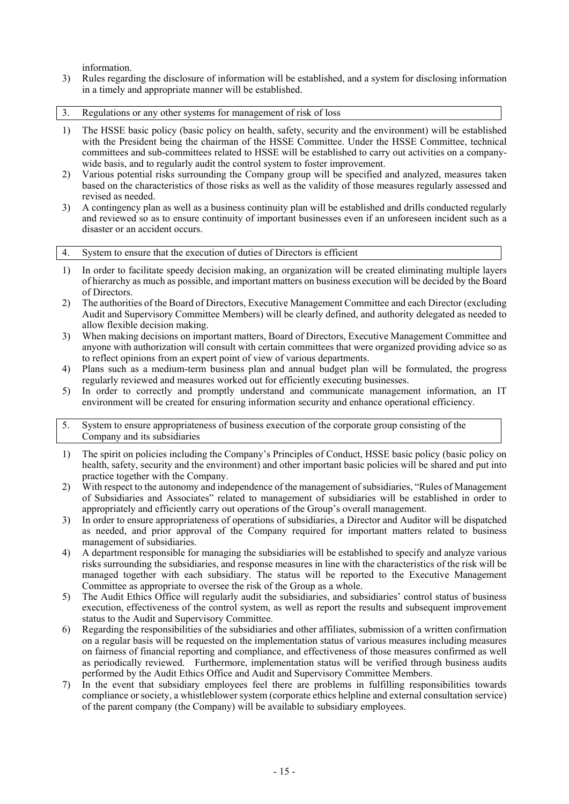information.

3) Rules regarding the disclosure of information will be established, and a system for disclosing information in a timely and appropriate manner will be established.

### 3. Regulations or any other systems for management of risk of loss

- 1) The HSSE basic policy (basic policy on health, safety, security and the environment) will be established with the President being the chairman of the HSSE Committee. Under the HSSE Committee, technical committees and sub-committees related to HSSE will be established to carry out activities on a companywide basis, and to regularly audit the control system to foster improvement.
- 2) Various potential risks surrounding the Company group will be specified and analyzed, measures taken based on the characteristics of those risks as well as the validity of those measures regularly assessed and revised as needed.
- 3) A contingency plan as well as a business continuity plan will be established and drills conducted regularly and reviewed so as to ensure continuity of important businesses even if an unforeseen incident such as a disaster or an accident occurs.

### 4. System to ensure that the execution of duties of Directors is efficient

- 1) In order to facilitate speedy decision making, an organization will be created eliminating multiple layers of hierarchy as much as possible, and important matters on business execution will be decided by the Board of Directors.
- 2) The authorities of the Board of Directors, Executive Management Committee and each Director (excluding Audit and Supervisory Committee Members) will be clearly defined, and authority delegated as needed to allow flexible decision making.
- 3) When making decisions on important matters, Board of Directors, Executive Management Committee and anyone with authorization will consult with certain committees that were organized providing advice so as to reflect opinions from an expert point of view of various departments.
- 4) Plans such as a medium-term business plan and annual budget plan will be formulated, the progress regularly reviewed and measures worked out for efficiently executing businesses.
- 5) In order to correctly and promptly understand and communicate management information, an IT environment will be created for ensuring information security and enhance operational efficiency.
- 5. System to ensure appropriateness of business execution of the corporate group consisting of the Company and its subsidiaries
- 1) The spirit on policies including the Company's Principles of Conduct, HSSE basic policy (basic policy on health, safety, security and the environment) and other important basic policies will be shared and put into practice together with the Company.
- 2) With respect to the autonomy and independence of the management of subsidiaries, "Rules of Management of Subsidiaries and Associates" related to management of subsidiaries will be established in order to appropriately and efficiently carry out operations of the Group's overall management.
- 3) In order to ensure appropriateness of operations of subsidiaries, a Director and Auditor will be dispatched as needed, and prior approval of the Company required for important matters related to business management of subsidiaries.
- 4) A department responsible for managing the subsidiaries will be established to specify and analyze various risks surrounding the subsidiaries, and response measures in line with the characteristics of the risk will be managed together with each subsidiary. The status will be reported to the Executive Management Committee as appropriate to oversee the risk of the Group as a whole.
- 5) The Audit Ethics Office will regularly audit the subsidiaries, and subsidiaries' control status of business execution, effectiveness of the control system, as well as report the results and subsequent improvement status to the Audit and Supervisory Committee.
- 6) Regarding the responsibilities of the subsidiaries and other affiliates, submission of a written confirmation on a regular basis will be requested on the implementation status of various measures including measures on fairness of financial reporting and compliance, and effectiveness of those measures confirmed as well as periodically reviewed. Furthermore, implementation status will be verified through business audits performed by the Audit Ethics Office and Audit and Supervisory Committee Members.
- 7) In the event that subsidiary employees feel there are problems in fulfilling responsibilities towards compliance or society, a whistleblower system (corporate ethics helpline and external consultation service) of the parent company (the Company) will be available to subsidiary employees.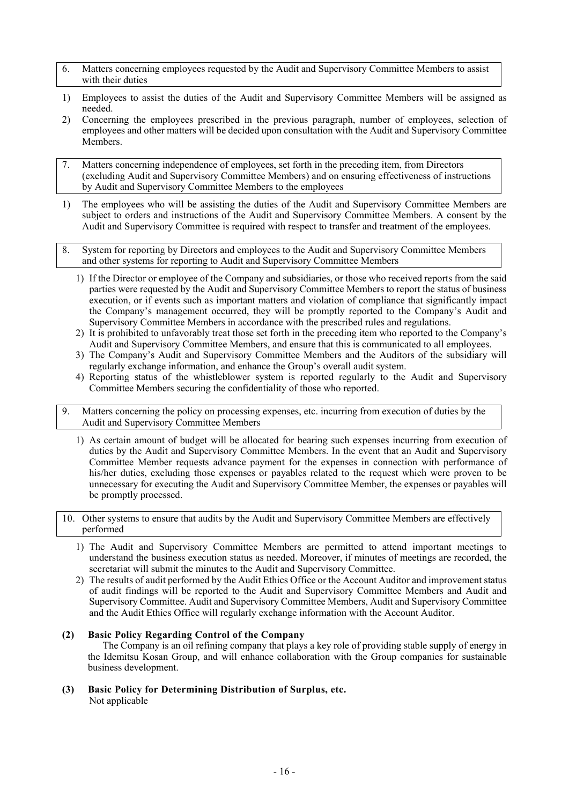- 6. Matters concerning employees requested by the Audit and Supervisory Committee Members to assist with their duties
- 1) Employees to assist the duties of the Audit and Supervisory Committee Members will be assigned as needed.
- 2) Concerning the employees prescribed in the previous paragraph, number of employees, selection of employees and other matters will be decided upon consultation with the Audit and Supervisory Committee Members.
- 7. Matters concerning independence of employees, set forth in the preceding item, from Directors (excluding Audit and Supervisory Committee Members) and on ensuring effectiveness of instructions by Audit and Supervisory Committee Members to the employees
- 1) The employees who will be assisting the duties of the Audit and Supervisory Committee Members are subject to orders and instructions of the Audit and Supervisory Committee Members. A consent by the Audit and Supervisory Committee is required with respect to transfer and treatment of the employees.
- 8. System for reporting by Directors and employees to the Audit and Supervisory Committee Members and other systems for reporting to Audit and Supervisory Committee Members
	- 1) If the Director or employee of the Company and subsidiaries, or those who received reports from the said parties were requested by the Audit and Supervisory Committee Members to report the status of business execution, or if events such as important matters and violation of compliance that significantly impact the Company's management occurred, they will be promptly reported to the Company's Audit and Supervisory Committee Members in accordance with the prescribed rules and regulations.
	- 2) It is prohibited to unfavorably treat those set forth in the preceding item who reported to the Company's Audit and Supervisory Committee Members, and ensure that this is communicated to all employees.
	- 3) The Company's Audit and Supervisory Committee Members and the Auditors of the subsidiary will regularly exchange information, and enhance the Group's overall audit system.
	- 4) Reporting status of the whistleblower system is reported regularly to the Audit and Supervisory Committee Members securing the confidentiality of those who reported.
- 9. Matters concerning the policy on processing expenses, etc. incurring from execution of duties by the Audit and Supervisory Committee Members
	- 1) As certain amount of budget will be allocated for bearing such expenses incurring from execution of duties by the Audit and Supervisory Committee Members. In the event that an Audit and Supervisory Committee Member requests advance payment for the expenses in connection with performance of his/her duties, excluding those expenses or payables related to the request which were proven to be unnecessary for executing the Audit and Supervisory Committee Member, the expenses or payables will be promptly processed.
- 10. Other systems to ensure that audits by the Audit and Supervisory Committee Members are effectively performed
	- 1) The Audit and Supervisory Committee Members are permitted to attend important meetings to understand the business execution status as needed. Moreover, if minutes of meetings are recorded, the secretariat will submit the minutes to the Audit and Supervisory Committee.
	- 2) The results of audit performed by the Audit Ethics Office or the Account Auditor and improvement status of audit findings will be reported to the Audit and Supervisory Committee Members and Audit and Supervisory Committee. Audit and Supervisory Committee Members, Audit and Supervisory Committee and the Audit Ethics Office will regularly exchange information with the Account Auditor.

### **(2) Basic Policy Regarding Control of the Company**

The Company is an oil refining company that plays a key role of providing stable supply of energy in the Idemitsu Kosan Group, and will enhance collaboration with the Group companies for sustainable business development.

**(3) Basic Policy for Determining Distribution of Surplus, etc.**  Not applicable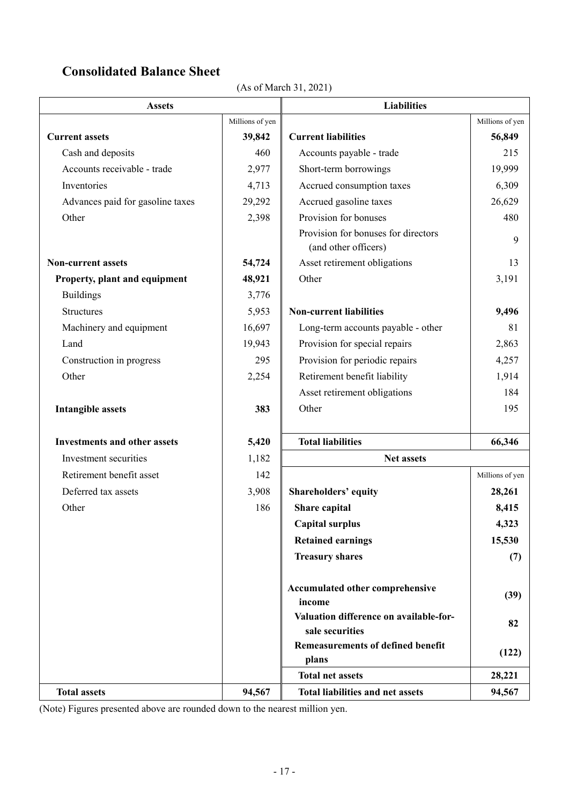# **Consolidated Balance Sheet**

(As of March 31, 2021)

| <b>Assets</b>                       |                 | <b>Liabilities</b>                                          |                 |
|-------------------------------------|-----------------|-------------------------------------------------------------|-----------------|
|                                     | Millions of yen |                                                             | Millions of yen |
| <b>Current assets</b>               | 39,842          | <b>Current liabilities</b>                                  | 56,849          |
| Cash and deposits                   | 460             | Accounts payable - trade                                    | 215             |
| Accounts receivable - trade         | 2,977           | Short-term borrowings                                       | 19,999          |
| Inventories                         | 4,713           | Accrued consumption taxes                                   | 6,309           |
| Advances paid for gasoline taxes    | 29,292          | Accrued gasoline taxes                                      | 26,629          |
| Other                               | 2,398           | Provision for bonuses                                       | 480             |
|                                     |                 | Provision for bonuses for directors<br>(and other officers) | 9               |
| <b>Non-current assets</b>           | 54,724          | Asset retirement obligations                                | 13              |
| Property, plant and equipment       | 48,921          | Other                                                       | 3,191           |
| <b>Buildings</b>                    | 3,776           |                                                             |                 |
| <b>Structures</b>                   | 5,953           | <b>Non-current liabilities</b>                              | 9,496           |
| Machinery and equipment             | 16,697          | Long-term accounts payable - other                          | 81              |
| Land                                | 19,943          | Provision for special repairs                               | 2,863           |
| Construction in progress            | 295             | Provision for periodic repairs                              | 4,257           |
| Other                               | 2,254           | Retirement benefit liability                                | 1,914           |
|                                     |                 | Asset retirement obligations                                | 184             |
| <b>Intangible assets</b>            | 383             | Other                                                       | 195             |
| <b>Investments and other assets</b> | 5,420           | <b>Total liabilities</b>                                    | 66,346          |
| Investment securities               | 1,182           | Net assets                                                  |                 |
| Retirement benefit asset            | 142             |                                                             | Millions of yen |
| Deferred tax assets                 | 3,908           | <b>Shareholders' equity</b>                                 | 28,261          |
| Other                               | 186             | Share capital                                               | 8,415           |
|                                     |                 | <b>Capital surplus</b>                                      | 4,323           |
|                                     |                 | <b>Retained earnings</b>                                    | 15,530          |
|                                     |                 | <b>Treasury shares</b>                                      | (7)             |
|                                     |                 | Accumulated other comprehensive<br>income                   | (39)            |
|                                     |                 | Valuation difference on available-for-<br>sale securities   | 82              |
|                                     |                 | <b>Remeasurements of defined benefit</b><br>plans           | (122)           |
|                                     |                 | <b>Total net assets</b>                                     | 28,221          |
| <b>Total assets</b>                 | 94,567          | <b>Total liabilities and net assets</b>                     | 94,567          |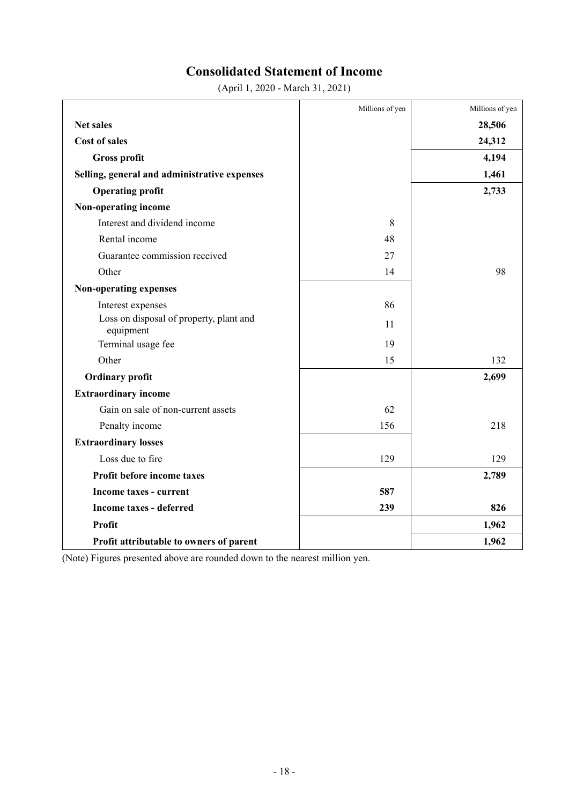# **Consolidated Statement of Income**

(April 1, 2020 - March 31, 2021)

|                                                      | Millions of yen | Millions of yen |
|------------------------------------------------------|-----------------|-----------------|
| <b>Net sales</b>                                     |                 | 28,506          |
| <b>Cost of sales</b>                                 |                 | 24,312          |
| <b>Gross profit</b>                                  |                 | 4,194           |
| Selling, general and administrative expenses         |                 | 1,461           |
| <b>Operating profit</b>                              |                 | 2,733           |
| Non-operating income                                 |                 |                 |
| Interest and dividend income                         | 8               |                 |
| Rental income                                        | 48              |                 |
| Guarantee commission received                        | 27              |                 |
| Other                                                | 14              | 98              |
| <b>Non-operating expenses</b>                        |                 |                 |
| Interest expenses                                    | 86              |                 |
| Loss on disposal of property, plant and<br>equipment | 11              |                 |
| Terminal usage fee                                   | 19              |                 |
| Other                                                | 15              | 132             |
| <b>Ordinary profit</b>                               |                 | 2,699           |
| <b>Extraordinary income</b>                          |                 |                 |
| Gain on sale of non-current assets                   | 62              |                 |
| Penalty income                                       | 156             | 218             |
| <b>Extraordinary losses</b>                          |                 |                 |
| Loss due to fire                                     | 129             | 129             |
| Profit before income taxes                           |                 | 2,789           |
| Income taxes - current                               | 587             |                 |
| <b>Income taxes - deferred</b>                       | 239             | 826             |
| Profit                                               |                 | 1,962           |
| Profit attributable to owners of parent              |                 | 1,962           |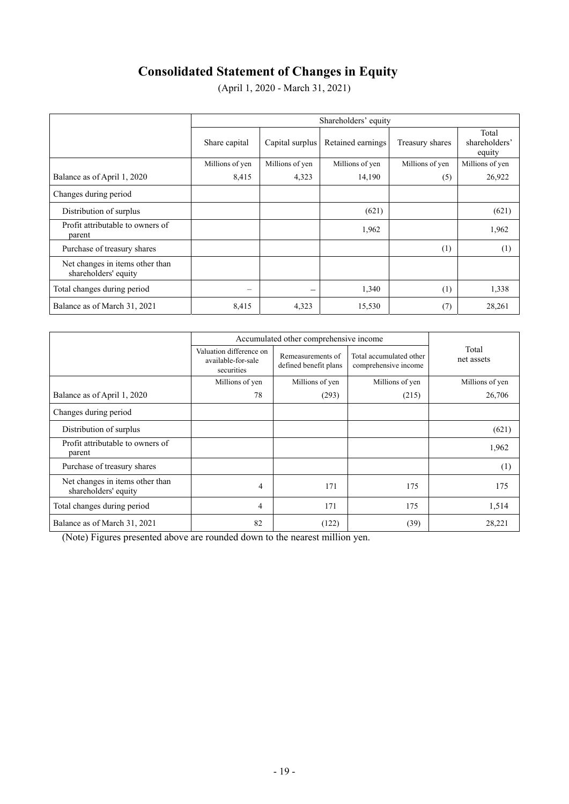# **Consolidated Statement of Changes in Equity**

(April 1, 2020 - March 31, 2021)

|                                                         | Shareholders' equity |                 |                   |                 |                                  |
|---------------------------------------------------------|----------------------|-----------------|-------------------|-----------------|----------------------------------|
|                                                         | Share capital        | Capital surplus | Retained earnings | Treasury shares | Total<br>shareholders'<br>equity |
|                                                         | Millions of yen      | Millions of yen | Millions of yen   | Millions of yen | Millions of yen                  |
| Balance as of April 1, 2020                             | 8,415                | 4,323           | 14,190            | (5)             | 26,922                           |
| Changes during period                                   |                      |                 |                   |                 |                                  |
| Distribution of surplus                                 |                      |                 | (621)             |                 | (621)                            |
| Profit attributable to owners of<br>parent              |                      |                 | 1,962             |                 | 1,962                            |
| Purchase of treasury shares                             |                      |                 |                   | (1)             | (1)                              |
| Net changes in items other than<br>shareholders' equity |                      |                 |                   |                 |                                  |
| Total changes during period                             |                      | —               | 1,340             | (1)             | 1,338                            |
| Balance as of March 31, 2021                            | 8,415                | 4,323           | 15,530            | (7)             | 28,261                           |

|                                                         |                                                             | Accumulated other comprehensive income     |                                                 |                     |  |
|---------------------------------------------------------|-------------------------------------------------------------|--------------------------------------------|-------------------------------------------------|---------------------|--|
|                                                         | Valuation difference on<br>available-for-sale<br>securities | Remeasurements of<br>defined benefit plans | Total accumulated other<br>comprehensive income | Total<br>net assets |  |
|                                                         | Millions of yen                                             | Millions of yen                            | Millions of yen                                 | Millions of yen     |  |
| Balance as of April 1, 2020                             | 78                                                          | (293)                                      | (215)                                           | 26,706              |  |
| Changes during period                                   |                                                             |                                            |                                                 |                     |  |
| Distribution of surplus                                 |                                                             |                                            |                                                 | (621)               |  |
| Profit attributable to owners of<br>parent              |                                                             |                                            |                                                 | 1,962               |  |
| Purchase of treasury shares                             |                                                             |                                            |                                                 | (1)                 |  |
| Net changes in items other than<br>shareholders' equity | 4                                                           | 171                                        | 175                                             | 175                 |  |
| Total changes during period                             | 4                                                           | 171                                        | 175                                             | 1,514               |  |
| Balance as of March 31, 2021                            | 82                                                          | (122)                                      | (39)                                            | 28,221              |  |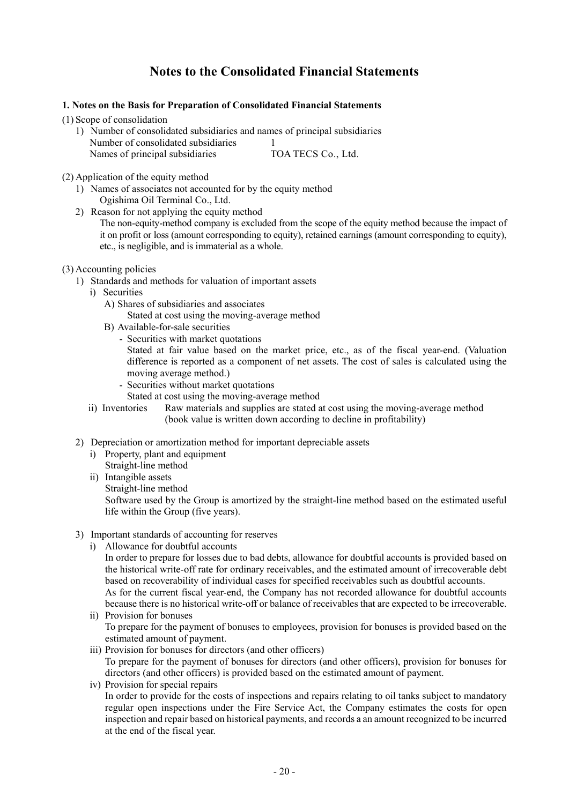### **Notes to the Consolidated Financial Statements**

### **1. Notes on the Basis for Preparation of Consolidated Financial Statements**

(1) Scope of consolidation

1) Number of consolidated subsidiaries and names of principal subsidiaries Number of consolidated subsidiaries 1 Names of principal subsidiaries TOA TECS Co., Ltd.

(2) Application of the equity method

- 1) Names of associates not accounted for by the equity method Ogishima Oil Terminal Co., Ltd.
- 2) Reason for not applying the equity method The non-equity-method company is excluded from the scope of the equity method because the impact of it on profit or loss (amount corresponding to equity), retained earnings (amount corresponding to equity), etc., is negligible, and is immaterial as a whole.
- (3) Accounting policies
	- 1) Standards and methods for valuation of important assets
		- i) Securities
			- A) Shares of subsidiaries and associates
				- Stated at cost using the moving-average method
			- B) Available-for-sale securities
				- Securities with market quotations
					- Stated at fair value based on the market price, etc., as of the fiscal year-end. (Valuation difference is reported as a component of net assets. The cost of sales is calculated using the moving average method.)
				- Securities without market quotations Stated at cost using the moving-average method
		- ii) Inventories Raw materials and supplies are stated at cost using the moving-average method (book value is written down according to decline in profitability)
	- 2) Depreciation or amortization method for important depreciable assets
		- i) Property, plant and equipment
		- Straight-line method
		- ii) Intangible assets
			- Straight-line method

Software used by the Group is amortized by the straight-line method based on the estimated useful life within the Group (five years).

- 3) Important standards of accounting for reserves
	- i) Allowance for doubtful accounts

In order to prepare for losses due to bad debts, allowance for doubtful accounts is provided based on the historical write-off rate for ordinary receivables, and the estimated amount of irrecoverable debt based on recoverability of individual cases for specified receivables such as doubtful accounts. As for the current fiscal year-end, the Company has not recorded allowance for doubtful accounts

because there is no historical write-off or balance of receivables that are expected to be irrecoverable. ii) Provision for bonuses

To prepare for the payment of bonuses to employees, provision for bonuses is provided based on the estimated amount of payment.

- iii) Provision for bonuses for directors (and other officers) To prepare for the payment of bonuses for directors (and other officers), provision for bonuses for directors (and other officers) is provided based on the estimated amount of payment.
- iv) Provision for special repairs In order to provide for the costs of inspections and repairs relating to oil tanks subject to mandatory regular open inspections under the Fire Service Act, the Company estimates the costs for open inspection and repair based on historical payments, and records a an amount recognized to be incurred at the end of the fiscal year.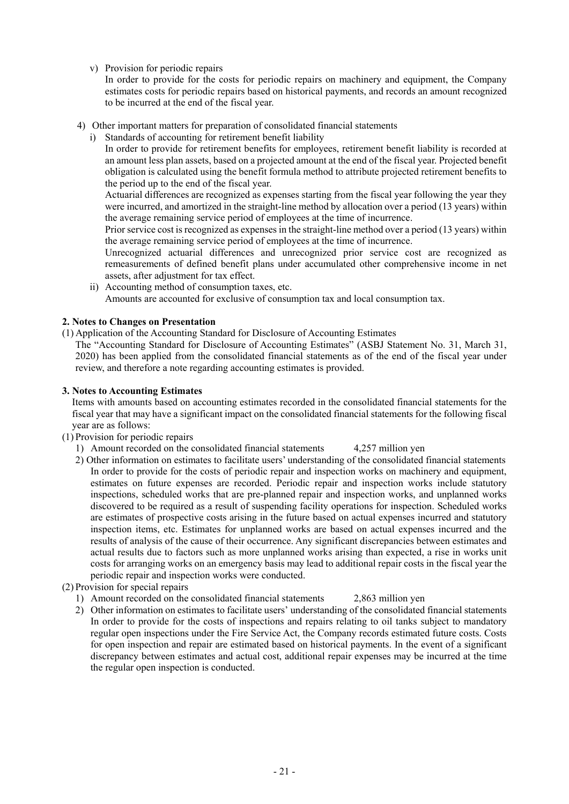v) Provision for periodic repairs

In order to provide for the costs for periodic repairs on machinery and equipment, the Company estimates costs for periodic repairs based on historical payments, and records an amount recognized to be incurred at the end of the fiscal year.

- 4) Other important matters for preparation of consolidated financial statements
	- i) Standards of accounting for retirement benefit liability

In order to provide for retirement benefits for employees, retirement benefit liability is recorded at an amount less plan assets, based on a projected amount at the end of the fiscal year. Projected benefit obligation is calculated using the benefit formula method to attribute projected retirement benefits to the period up to the end of the fiscal year.

Actuarial differences are recognized as expenses starting from the fiscal year following the year they were incurred, and amortized in the straight-line method by allocation over a period (13 years) within the average remaining service period of employees at the time of incurrence.

Prior service cost is recognized as expenses in the straight-line method over a period (13 years) within the average remaining service period of employees at the time of incurrence.

Unrecognized actuarial differences and unrecognized prior service cost are recognized as remeasurements of defined benefit plans under accumulated other comprehensive income in net assets, after adjustment for tax effect.

ii) Accounting method of consumption taxes, etc. Amounts are accounted for exclusive of consumption tax and local consumption tax.

### **2. Notes to Changes on Presentation**

(1) Application of the Accounting Standard for Disclosure of Accounting Estimates

The "Accounting Standard for Disclosure of Accounting Estimates" (ASBJ Statement No. 31, March 31, 2020) has been applied from the consolidated financial statements as of the end of the fiscal year under review, and therefore a note regarding accounting estimates is provided.

### **3. Notes to Accounting Estimates**

Items with amounts based on accounting estimates recorded in the consolidated financial statements for the fiscal year that may have a significant impact on the consolidated financial statements for the following fiscal year are as follows:

- (1) Provision for periodic repairs
	- 1) Amount recorded on the consolidated financial statements 4,257 million yen
	- 2) Other information on estimates to facilitate users' understanding of the consolidated financial statements In order to provide for the costs of periodic repair and inspection works on machinery and equipment, estimates on future expenses are recorded. Periodic repair and inspection works include statutory inspections, scheduled works that are pre-planned repair and inspection works, and unplanned works discovered to be required as a result of suspending facility operations for inspection. Scheduled works are estimates of prospective costs arising in the future based on actual expenses incurred and statutory inspection items, etc. Estimates for unplanned works are based on actual expenses incurred and the results of analysis of the cause of their occurrence. Any significant discrepancies between estimates and actual results due to factors such as more unplanned works arising than expected, a rise in works unit costs for arranging works on an emergency basis may lead to additional repair costs in the fiscal year the periodic repair and inspection works were conducted.
- (2) Provision for special repairs
	- 1) Amount recorded on the consolidated financial statements 2,863 million yen
	- 2) Other information on estimates to facilitate users' understanding of the consolidated financial statements In order to provide for the costs of inspections and repairs relating to oil tanks subject to mandatory regular open inspections under the Fire Service Act, the Company records estimated future costs. Costs for open inspection and repair are estimated based on historical payments. In the event of a significant discrepancy between estimates and actual cost, additional repair expenses may be incurred at the time the regular open inspection is conducted.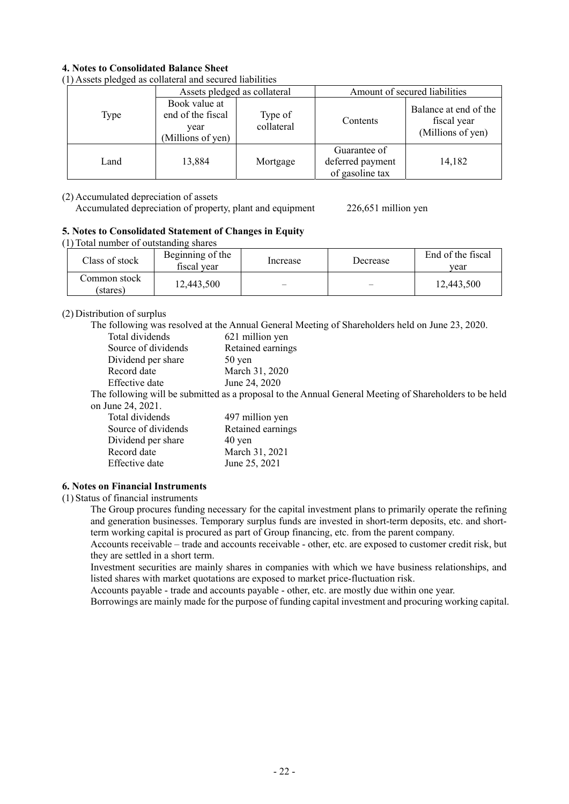### **4. Notes to Consolidated Balance Sheet**

|  | ri prissõis picagea as conaicial and scearca naonnies |                                                                 |                       |                                                     |                                                           |
|--|-------------------------------------------------------|-----------------------------------------------------------------|-----------------------|-----------------------------------------------------|-----------------------------------------------------------|
|  |                                                       | Assets pledged as collateral                                    |                       | Amount of secured liabilities                       |                                                           |
|  | Type                                                  | Book value at<br>end of the fiscal<br>year<br>(Millions of yen) | Type of<br>collateral | Contents                                            | Balance at end of the<br>fiscal year<br>(Millions of yen) |
|  | Land                                                  | 13,884                                                          | Mortgage              | Guarantee of<br>deferred payment<br>of gasoline tax | 14,182                                                    |

(1) Assets pledged as collateral and secured liabilities

### (2) Accumulated depreciation of assets

Accumulated depreciation of property, plant and equipment 226,651 million yen

### **5. Notes to Consolidated Statement of Changes in Equity**

(1) Total number of outstanding shares

| Class of stock           | Beginning of the<br>fiscal vear | Increase | Decrease | End of the fiscal<br>year |
|--------------------------|---------------------------------|----------|----------|---------------------------|
| Common stock<br>(stares) | 12,443,500                      |          |          | 12,443,500                |

### (2) Distribution of surplus

The following was resolved at the Annual General Meeting of Shareholders held on June 23, 2020.

| Total dividends     | 621 million yen                                                      |
|---------------------|----------------------------------------------------------------------|
| Source of dividends | Retained earnings                                                    |
| Dividend per share  | 50 yen                                                               |
| Record date         | March 31, 2020                                                       |
| Effective date      | June 24, 2020                                                        |
|                     | 그 사람들은 아이들의 사람들은 아이들의 사람들을 만들어 있다. 이 사람들은 아이들의 사람들은 아이들의 사람들을 하고 있다. |

The following will be submitted as a proposal to the Annual General Meeting of Shareholders to be held on June 24, 2021.

| Total dividends     | 497 million yen     |
|---------------------|---------------------|
| Source of dividends | Retained earnings   |
| Dividend per share  | $40 \,\mathrm{ven}$ |
| Record date         | March 31, 2021      |
| Effective date      | June 25, 2021       |

### **6. Notes on Financial Instruments**

(1) Status of financial instruments

The Group procures funding necessary for the capital investment plans to primarily operate the refining and generation businesses. Temporary surplus funds are invested in short-term deposits, etc. and shortterm working capital is procured as part of Group financing, etc. from the parent company.

Accounts receivable – trade and accounts receivable - other, etc. are exposed to customer credit risk, but they are settled in a short term.

Investment securities are mainly shares in companies with which we have business relationships, and listed shares with market quotations are exposed to market price-fluctuation risk.

Accounts payable - trade and accounts payable - other, etc. are mostly due within one year.

Borrowings are mainly made for the purpose of funding capital investment and procuring working capital.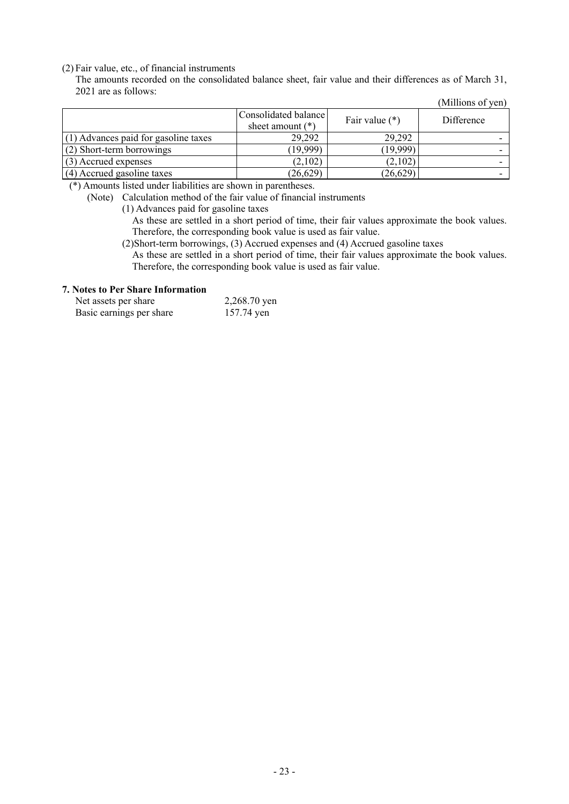(2) Fair value, etc., of financial instruments

The amounts recorded on the consolidated balance sheet, fair value and their differences as of March 31, 2021 are as follows:

|                                      | Consolidated balance<br>sheet amount $(*)$ | Fair value $(*)$ | Difference |
|--------------------------------------|--------------------------------------------|------------------|------------|
| (1) Advances paid for gasoline taxes | 29,292                                     | 29,292           |            |
| (2) Short-term borrowings            | (19,999)                                   | (19,999)         |            |
| (3) Accrued expenses                 | (2,102)                                    | (2,102)          |            |
| (4) Accrued gasoline taxes           | (26,629)                                   | (26, 629)        |            |

(\*) Amounts listed under liabilities are shown in parentheses.

(Note) Calculation method of the fair value of financial instruments

(1) Advances paid for gasoline taxes

As these are settled in a short period of time, their fair values approximate the book values. Therefore, the corresponding book value is used as fair value.

(Millions of yen)

(2)Short-term borrowings, (3) Accrued expenses and (4) Accrued gasoline taxes

As these are settled in a short period of time, their fair values approximate the book values. Therefore, the corresponding book value is used as fair value.

### **7. Notes to Per Share Information**

| Net assets per share     | 2,268.70 yen |
|--------------------------|--------------|
| Basic earnings per share | 157.74 yen   |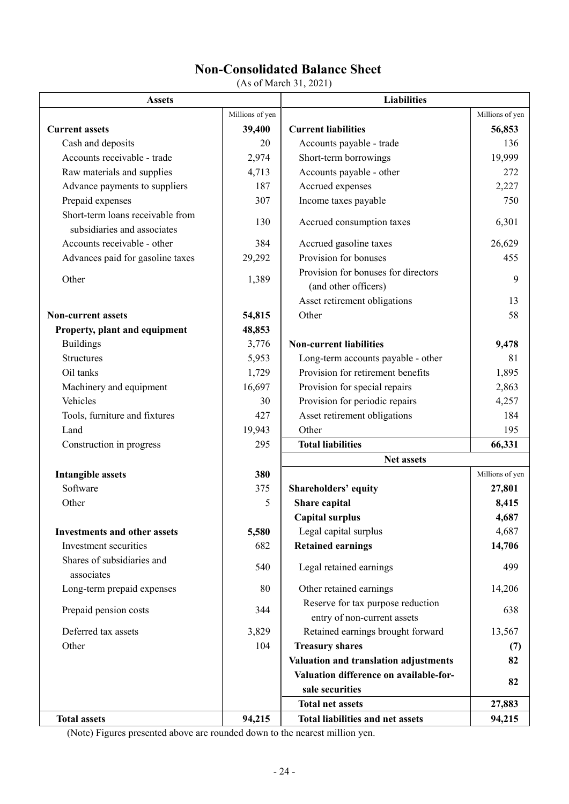## **Non-Consolidated Balance Sheet**

(As of March 31, 2021)

| <b>Assets</b>                                                   |                 | <b>Liabilities</b>                                               |                 |  |
|-----------------------------------------------------------------|-----------------|------------------------------------------------------------------|-----------------|--|
|                                                                 | Millions of yen |                                                                  | Millions of yen |  |
| <b>Current assets</b>                                           | 39,400          | <b>Current liabilities</b>                                       | 56,853          |  |
| Cash and deposits                                               | 20              | Accounts payable - trade                                         | 136             |  |
| Accounts receivable - trade                                     | 2,974           | Short-term borrowings                                            | 19,999          |  |
| Raw materials and supplies                                      | 4,713           | Accounts payable - other                                         | 272             |  |
| Advance payments to suppliers                                   | 187             | Accrued expenses                                                 | 2,227           |  |
| Prepaid expenses                                                | 307             | Income taxes payable                                             | 750             |  |
| Short-term loans receivable from<br>subsidiaries and associates | 130             | Accrued consumption taxes                                        | 6,301           |  |
| Accounts receivable - other                                     | 384             | Accrued gasoline taxes                                           | 26,629          |  |
| Advances paid for gasoline taxes                                | 29,292          | Provision for bonuses                                            | 455             |  |
| Other                                                           | 1,389           | Provision for bonuses for directors<br>(and other officers)      | 9               |  |
|                                                                 |                 | Asset retirement obligations                                     | 13              |  |
| <b>Non-current assets</b>                                       | 54,815          | Other                                                            | 58              |  |
| Property, plant and equipment                                   | 48,853          |                                                                  |                 |  |
| <b>Buildings</b>                                                | 3,776           | <b>Non-current liabilities</b>                                   | 9,478           |  |
| <b>Structures</b>                                               | 5,953           | Long-term accounts payable - other                               | 81              |  |
| Oil tanks                                                       | 1,729           | Provision for retirement benefits                                | 1,895           |  |
| Machinery and equipment                                         | 16,697          | Provision for special repairs                                    | 2,863           |  |
| Vehicles                                                        | 30              | Provision for periodic repairs                                   | 4,257           |  |
| Tools, furniture and fixtures                                   | 427             | Asset retirement obligations                                     | 184             |  |
| Land                                                            | 19,943          | Other                                                            | 195             |  |
| Construction in progress                                        | 295             | <b>Total liabilities</b>                                         | 66,331          |  |
|                                                                 |                 | <b>Net assets</b>                                                |                 |  |
| <b>Intangible assets</b>                                        | 380             |                                                                  | Millions of yen |  |
| Software                                                        | 375             | Shareholders' equity                                             | 27,801          |  |
| Other                                                           | 5               | Share capital                                                    | 8,415           |  |
|                                                                 |                 | <b>Capital surplus</b>                                           | 4,687           |  |
| <b>Investments and other assets</b>                             | 5,580           | Legal capital surplus                                            | 4,687           |  |
| Investment securities                                           | 682             | <b>Retained earnings</b>                                         | 14,706          |  |
| Shares of subsidiaries and<br>associates                        | 540             | Legal retained earnings                                          | 499             |  |
| Long-term prepaid expenses                                      | 80              | Other retained earnings                                          | 14,206          |  |
| Prepaid pension costs                                           | 344             | Reserve for tax purpose reduction<br>entry of non-current assets | 638             |  |
| Deferred tax assets                                             | 3,829           | Retained earnings brought forward                                | 13,567          |  |
| Other                                                           | 104             | <b>Treasury shares</b>                                           | (7)             |  |
|                                                                 |                 | Valuation and translation adjustments                            | 82              |  |
|                                                                 |                 | Valuation difference on available-for-                           |                 |  |
|                                                                 |                 | sale securities                                                  | 82              |  |
|                                                                 |                 | <b>Total net assets</b>                                          | 27,883          |  |
| <b>Total assets</b>                                             | 94,215          | <b>Total liabilities and net assets</b>                          | 94,215          |  |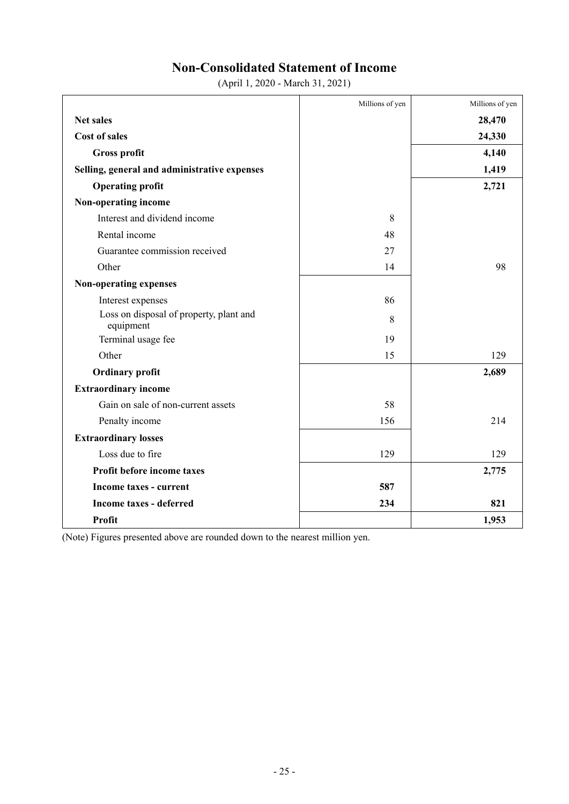## **Non-Consolidated Statement of Income**

(April 1, 2020 - March 31, 2021)

|                                                      | Millions of yen | Millions of yen |
|------------------------------------------------------|-----------------|-----------------|
| <b>Net sales</b>                                     |                 | 28,470          |
| <b>Cost of sales</b>                                 |                 | 24,330          |
| <b>Gross profit</b>                                  |                 | 4,140           |
| Selling, general and administrative expenses         |                 | 1,419           |
| <b>Operating profit</b>                              |                 | 2,721           |
| Non-operating income                                 |                 |                 |
| Interest and dividend income                         | 8               |                 |
| Rental income                                        | 48              |                 |
| Guarantee commission received                        | 27              |                 |
| Other                                                | 14              | 98              |
| Non-operating expenses                               |                 |                 |
| Interest expenses                                    | 86              |                 |
| Loss on disposal of property, plant and<br>equipment | 8               |                 |
| Terminal usage fee                                   | 19              |                 |
| Other                                                | 15              | 129             |
| <b>Ordinary profit</b>                               |                 | 2,689           |
| <b>Extraordinary income</b>                          |                 |                 |
| Gain on sale of non-current assets                   | 58              |                 |
| Penalty income                                       | 156             | 214             |
| <b>Extraordinary losses</b>                          |                 |                 |
| Loss due to fire                                     | 129             | 129             |
| Profit before income taxes                           |                 | 2,775           |
| <b>Income taxes - current</b>                        | 587             |                 |
| <b>Income taxes - deferred</b>                       | 234             | 821             |
| Profit                                               |                 | 1,953           |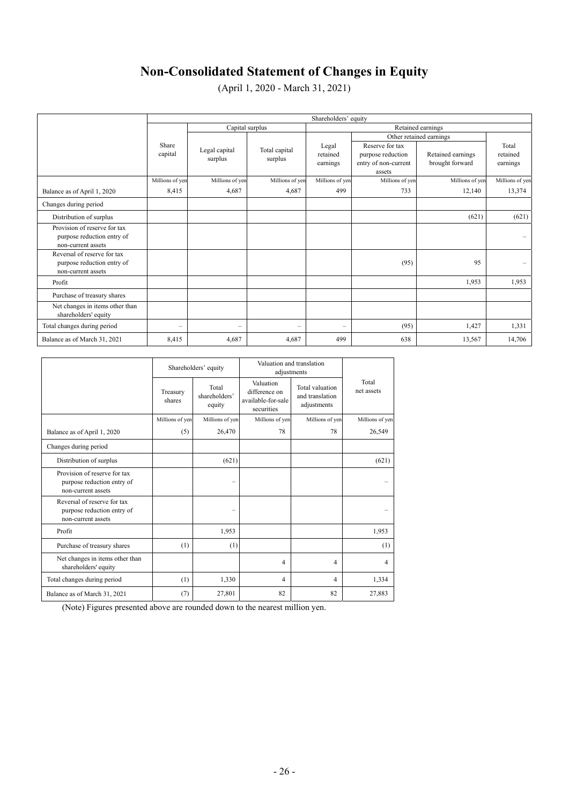# **Non-Consolidated Statement of Changes in Equity**

(April 1, 2020 - March 31, 2021)

|                                                         | Shareholders' equity     |                 |                          |                 |                      |                         |                 |
|---------------------------------------------------------|--------------------------|-----------------|--------------------------|-----------------|----------------------|-------------------------|-----------------|
|                                                         |                          | Capital surplus |                          |                 | Retained earnings    |                         |                 |
|                                                         |                          |                 |                          |                 |                      | Other retained earnings |                 |
|                                                         | Share                    | Legal capital   | Total capital            | Legal           | Reserve for tax      |                         | Total           |
|                                                         | capital                  | surplus         | surplus                  | retained        | purpose reduction    | Retained earnings       | retained        |
|                                                         |                          |                 |                          | earnings        | entry of non-current | brought forward         | earnings        |
|                                                         |                          |                 |                          |                 | assets               |                         |                 |
|                                                         | Millions of yen          | Millions of yen | Millions of yen          | Millions of yen | Millions of yen      | Millions of yen         | Millions of yen |
| Balance as of April 1, 2020                             | 8,415                    | 4,687           | 4,687                    | 499             | 733                  | 12,140                  | 13,374          |
| Changes during period                                   |                          |                 |                          |                 |                      |                         |                 |
| Distribution of surplus                                 |                          |                 |                          |                 |                      | (621)                   | (621)           |
| Provision of reserve for tax                            |                          |                 |                          |                 |                      |                         |                 |
| purpose reduction entry of                              |                          |                 |                          |                 |                      |                         |                 |
| non-current assets                                      |                          |                 |                          |                 |                      |                         |                 |
| Reversal of reserve for tax                             |                          |                 |                          |                 |                      |                         |                 |
| purpose reduction entry of                              |                          |                 |                          |                 | (95)                 | 95                      |                 |
| non-current assets                                      |                          |                 |                          |                 |                      |                         |                 |
| Profit                                                  |                          |                 |                          |                 |                      | 1,953                   | 1,953           |
| Purchase of treasury shares                             |                          |                 |                          |                 |                      |                         |                 |
| Net changes in items other than<br>shareholders' equity |                          |                 |                          |                 |                      |                         |                 |
| Total changes during period                             | $\overline{\phantom{0}}$ | -               | $\overline{\phantom{0}}$ | -               | (95)                 | 1,427                   | 1,331           |
| Balance as of March 31, 2021                            | 8,415                    | 4,687           | 4,687                    | 499             | 638                  | 13,567                  | 14,706          |

|                                                                                  |                    | Valuation and translation<br>Shareholders' equity<br>adjustments |                                                                |                                                   |                     |
|----------------------------------------------------------------------------------|--------------------|------------------------------------------------------------------|----------------------------------------------------------------|---------------------------------------------------|---------------------|
|                                                                                  | Treasury<br>shares | Total<br>shareholders'<br>equity                                 | Valuation<br>difference on<br>available-for-sale<br>securities | Total valuation<br>and translation<br>adjustments | Total<br>net assets |
|                                                                                  | Millions of yen    | Millions of yen                                                  | Millions of yen                                                | Millions of yen                                   | Millions of yen     |
| Balance as of April 1, 2020                                                      | (5)                | 26,470                                                           | 78                                                             | 78                                                | 26,549              |
| Changes during period                                                            |                    |                                                                  |                                                                |                                                   |                     |
| Distribution of surplus                                                          |                    | (621)                                                            |                                                                |                                                   | (621)               |
| Provision of reserve for tax<br>purpose reduction entry of<br>non-current assets |                    |                                                                  |                                                                |                                                   |                     |
| Reversal of reserve for tax<br>purpose reduction entry of<br>non-current assets  |                    |                                                                  |                                                                |                                                   |                     |
| Profit                                                                           |                    | 1,953                                                            |                                                                |                                                   | 1,953               |
| Purchase of treasury shares                                                      | (1)                | (1)                                                              |                                                                |                                                   | (1)                 |
| Net changes in items other than<br>shareholders' equity                          |                    |                                                                  | $\overline{\mathcal{A}}$                                       | 4                                                 | $\overline{4}$      |
| Total changes during period                                                      | (1)                | 1,330                                                            | $\overline{\mathbf{4}}$                                        | 4                                                 | 1,334               |
| Balance as of March 31, 2021                                                     | (7)                | 27,801                                                           | 82                                                             | 82                                                | 27,883              |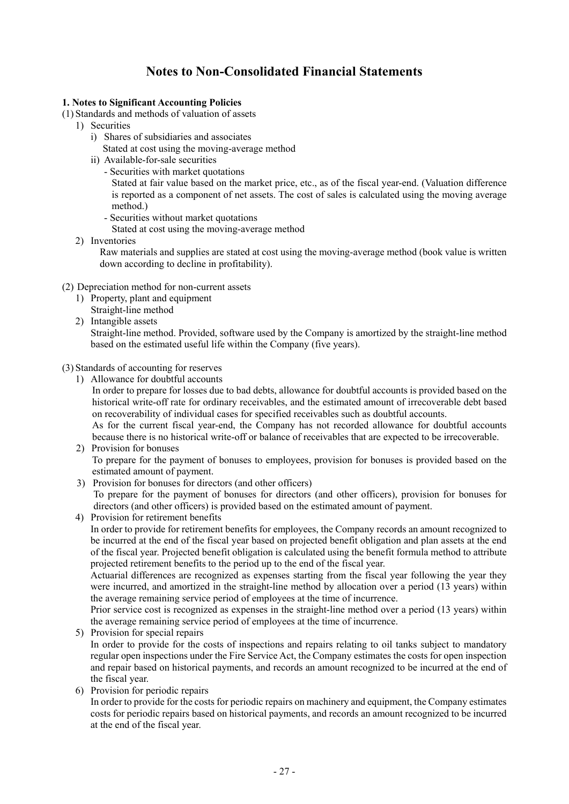### **Notes to Non-Consolidated Financial Statements**

### **1. Notes to Significant Accounting Policies**

- (1) Standards and methods of valuation of assets
	- 1) Securities
		- i) Shares of subsidiaries and associates
			- Stated at cost using the moving-average method
		- ii) Available-for-sale securities
			- Securities with market quotations

Stated at fair value based on the market price, etc., as of the fiscal year-end. (Valuation difference is reported as a component of net assets. The cost of sales is calculated using the moving average method.)

- Securities without market quotations
- Stated at cost using the moving-average method
- 2) Inventories

Raw materials and supplies are stated at cost using the moving-average method (book value is written down according to decline in profitability).

- (2) Depreciation method for non-current assets
	- 1) Property, plant and equipment
	- Straight-line method
	- 2) Intangible assets

Straight-line method. Provided, software used by the Company is amortized by the straight-line method based on the estimated useful life within the Company (five years).

(3) Standards of accounting for reserves

1) Allowance for doubtful accounts

In order to prepare for losses due to bad debts, allowance for doubtful accounts is provided based on the historical write-off rate for ordinary receivables, and the estimated amount of irrecoverable debt based on recoverability of individual cases for specified receivables such as doubtful accounts.

As for the current fiscal year-end, the Company has not recorded allowance for doubtful accounts because there is no historical write-off or balance of receivables that are expected to be irrecoverable. 2) Provision for bonuses

- To prepare for the payment of bonuses to employees, provision for bonuses is provided based on the estimated amount of payment.
- 3) Provision for bonuses for directors (and other officers)

To prepare for the payment of bonuses for directors (and other officers), provision for bonuses for directors (and other officers) is provided based on the estimated amount of payment.

4) Provision for retirement benefits

In order to provide for retirement benefits for employees, the Company records an amount recognized to be incurred at the end of the fiscal year based on projected benefit obligation and plan assets at the end of the fiscal year. Projected benefit obligation is calculated using the benefit formula method to attribute projected retirement benefits to the period up to the end of the fiscal year.

Actuarial differences are recognized as expenses starting from the fiscal year following the year they were incurred, and amortized in the straight-line method by allocation over a period (13 years) within the average remaining service period of employees at the time of incurrence.

Prior service cost is recognized as expenses in the straight-line method over a period (13 years) within the average remaining service period of employees at the time of incurrence.

5) Provision for special repairs

In order to provide for the costs of inspections and repairs relating to oil tanks subject to mandatory regular open inspections under the Fire Service Act, the Company estimates the costs for open inspection and repair based on historical payments, and records an amount recognized to be incurred at the end of the fiscal year.

6) Provision for periodic repairs

In order to provide for the costs for periodic repairs on machinery and equipment, the Company estimates costs for periodic repairs based on historical payments, and records an amount recognized to be incurred at the end of the fiscal year.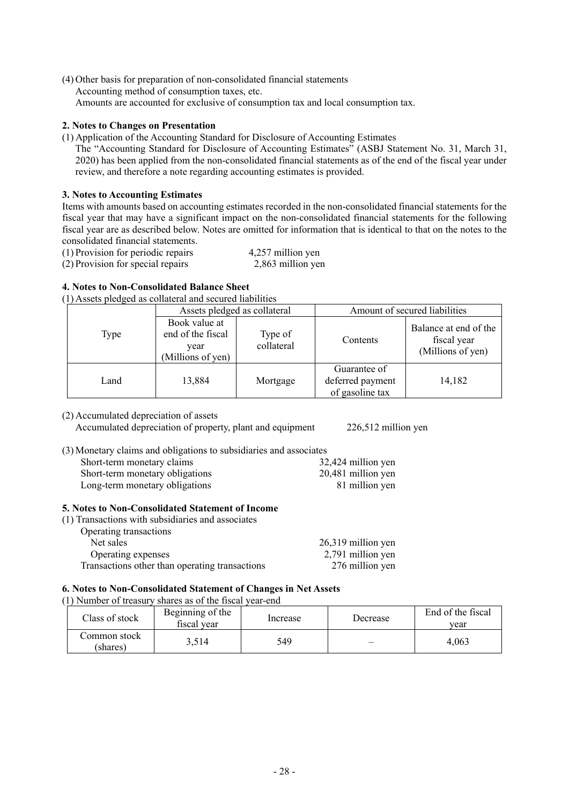(4) Other basis for preparation of non-consolidated financial statements Accounting method of consumption taxes, etc.

Amounts are accounted for exclusive of consumption tax and local consumption tax.

### **2. Notes to Changes on Presentation**

(1) Application of the Accounting Standard for Disclosure of Accounting Estimates

The "Accounting Standard for Disclosure of Accounting Estimates" (ASBJ Statement No. 31, March 31, 2020) has been applied from the non-consolidated financial statements as of the end of the fiscal year under review, and therefore a note regarding accounting estimates is provided.

### **3. Notes to Accounting Estimates**

Items with amounts based on accounting estimates recorded in the non-consolidated financial statements for the fiscal year that may have a significant impact on the non-consolidated financial statements for the following fiscal year are as described below. Notes are omitted for information that is identical to that on the notes to the consolidated financial statements.

(1) Provision for periodic repairs 4,257 million yen (2) Provision for special repairs 2,863 million yen

### **4. Notes to Non-Consolidated Balance Sheet**

(1) Assets pledged as collateral and secured liabilities

|      | Assets pledged as collateral                                    |                       | Amount of secured liabilities                       |                                                           |  |
|------|-----------------------------------------------------------------|-----------------------|-----------------------------------------------------|-----------------------------------------------------------|--|
| Type | Book value at<br>end of the fiscal<br>year<br>(Millions of yen) | Type of<br>collateral | Contents                                            | Balance at end of the<br>fiscal year<br>(Millions of yen) |  |
| Land | 13,884                                                          | Mortgage              | Guarantee of<br>deferred payment<br>of gasoline tax | 14,182                                                    |  |

### (2) Accumulated depreciation of assets

Accumulated depreciation of property, plant and equipment 226,512 million yen

(3) Monetary claims and obligations to subsidiaries and associates

| Short-term monetary claims      | 32,424 million yen |
|---------------------------------|--------------------|
| Short-term monetary obligations | 20,481 million yen |
| Long-term monetary obligations  | 81 million yen     |

### **5. Notes to Non-Consolidated Statement of Income**

| (1) Transactions with subsidiaries and associates |                    |
|---------------------------------------------------|--------------------|
| Operating transactions                            |                    |
| Net sales                                         | 26,319 million yen |
| Operating expenses                                | 2,791 million yen  |
| Transactions other than operating transactions    | 276 million yen    |
|                                                   |                    |

### **6. Notes to Non-Consolidated Statement of Changes in Net Assets**

### (1) Number of treasury shares as of the fiscal year-end

| Class of stock           | Beginning of the<br>fiscal vear |     | Decrease | End of the fiscal<br>vear |
|--------------------------|---------------------------------|-----|----------|---------------------------|
| Common stock<br>(shares) | 3,514                           | 549 |          | 4.063                     |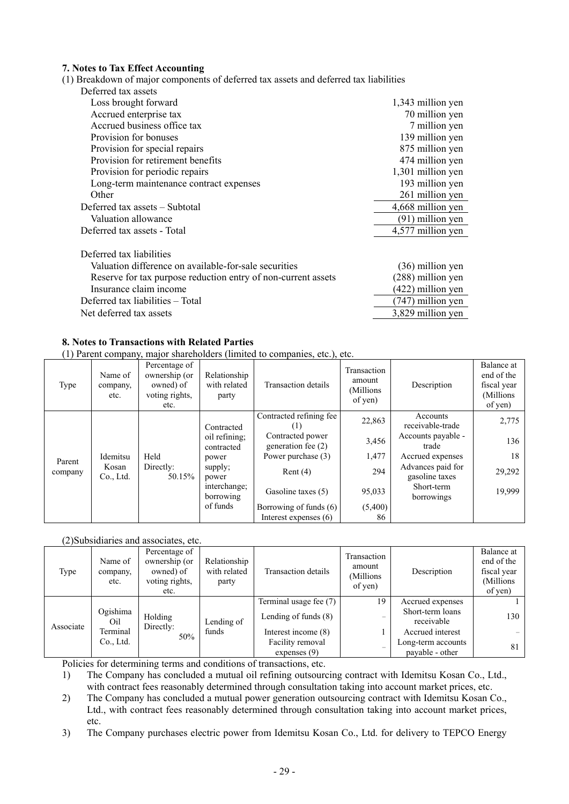### **7. Notes to Tax Effect Accounting**

(1) Breakdown of major components of deferred tax assets and deferred tax liabilities

| Deferred tax assets                                           |                     |
|---------------------------------------------------------------|---------------------|
| Loss brought forward                                          | 1,343 million yen   |
| Accrued enterprise tax                                        | 70 million yen      |
| Accrued business office tax                                   | 7 million yen       |
| Provision for bonuses                                         | 139 million yen     |
| Provision for special repairs                                 | 875 million yen     |
| Provision for retirement benefits                             | 474 million yen     |
| Provision for periodic repairs                                | 1,301 million yen   |
| Long-term maintenance contract expenses                       | 193 million yen     |
| Other                                                         | 261 million yen     |
| Deferred tax assets - Subtotal                                | 4,668 million yen   |
| Valuation allowance                                           | $(91)$ million yen  |
| Deferred tax assets - Total                                   | 4,577 million yen   |
| Deferred tax liabilities                                      |                     |
| Valuation difference on available-for-sale securities         | $(36)$ million yen  |
| Reserve for tax purpose reduction entry of non-current assets | (288) million yen   |
| Insurance claim income                                        | (422) million yen   |
| Deferred tax liabilities - Total                              | $(747)$ million yen |
| Net deferred tax assets                                       | 3,829 million yen   |

### **8. Notes to Transactions with Related Parties**

(1) Parent company, major shareholders (limited to companies, etc.), etc.

| Type              | Name of<br>company,<br>etc. | Percentage of<br>ownership (or<br>owned) of<br>voting rights,<br>etc. | Relationship<br>with related<br>party | Transaction details                    | Transaction<br>amount<br>(Millions)<br>of yen) | Description                         | Balance at<br>end of the<br>fiscal year<br>(Millions)<br>of yen) |
|-------------------|-----------------------------|-----------------------------------------------------------------------|---------------------------------------|----------------------------------------|------------------------------------------------|-------------------------------------|------------------------------------------------------------------|
|                   |                             |                                                                       | Contracted                            | Contracted refining fee<br>(1)         | 22,863                                         | Accounts<br>receivable-trade        | 2,775                                                            |
|                   |                             |                                                                       | oil refining;<br>contracted           | Contracted power<br>generation fee (2) | 3,456                                          | Accounts payable -<br>trade         | 136                                                              |
|                   | Idemitsu                    | Held                                                                  | power                                 | Power purchase (3)                     | 1,477                                          | Accrued expenses                    | 18                                                               |
| Parent<br>company | Kosan<br>Co., Ltd.          | Directly:<br>50.15%                                                   | supply;<br>power                      | Rent $(4)$                             | 294                                            | Advances paid for<br>gasoline taxes | 29,292                                                           |
|                   |                             |                                                                       | interchange;<br>borrowing             | Gasoline taxes (5)                     | 95,033                                         | Short-term<br>borrowings            | 19,999                                                           |
|                   |                             |                                                                       | of funds                              | Borrowing of funds (6)                 | (5,400)                                        |                                     |                                                                  |
|                   |                             |                                                                       |                                       | Interest expenses $(6)$                | 86                                             |                                     |                                                                  |

### (2)Subsidiaries and associates, etc.

| Type      | Name of<br>company,<br>etc. | Percentage of<br>ownership (or<br>owned) of<br>voting rights,<br>etc. | Relationship<br>with related<br>party | Transaction details    | Transaction<br>amount<br>(Millions<br>of yen) | Description                    | Balance at<br>end of the<br>fiscal year<br>(Millions)<br>of yen) |
|-----------|-----------------------------|-----------------------------------------------------------------------|---------------------------------------|------------------------|-----------------------------------------------|--------------------------------|------------------------------------------------------------------|
|           |                             |                                                                       |                                       | Terminal usage fee (7) | 19                                            | Accrued expenses               |                                                                  |
|           | Ogishima<br>Oil             | Holding                                                               | Lending of                            | Lending of funds (8)   |                                               | Short-term loans<br>receivable | 130                                                              |
| Associate | Terminal                    | Directly:<br>50%                                                      | funds                                 | Interest income (8)    |                                               | Accrued interest               |                                                                  |
|           | Co., Ltd.                   |                                                                       |                                       | Facility removal       |                                               | Long-term accounts             | 81                                                               |
|           |                             |                                                                       |                                       | expenses $(9)$         |                                               | payable - other                |                                                                  |

Policies for determining terms and conditions of transactions, etc.

1) The Company has concluded a mutual oil refining outsourcing contract with Idemitsu Kosan Co., Ltd., with contract fees reasonably determined through consultation taking into account market prices, etc.

2) The Company has concluded a mutual power generation outsourcing contract with Idemitsu Kosan Co., Ltd., with contract fees reasonably determined through consultation taking into account market prices, etc.

3) The Company purchases electric power from Idemitsu Kosan Co., Ltd. for delivery to TEPCO Energy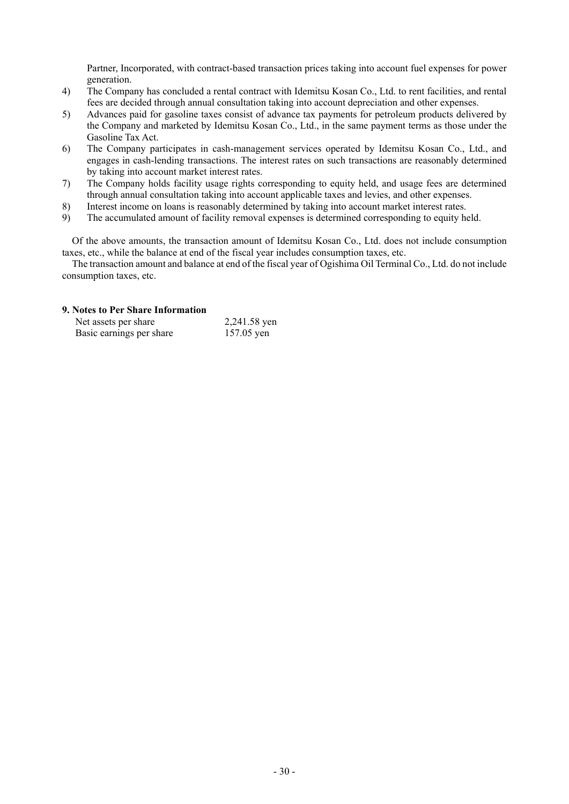Partner, Incorporated, with contract-based transaction prices taking into account fuel expenses for power generation.

- 4) The Company has concluded a rental contract with Idemitsu Kosan Co., Ltd. to rent facilities, and rental fees are decided through annual consultation taking into account depreciation and other expenses.
- 5) Advances paid for gasoline taxes consist of advance tax payments for petroleum products delivered by the Company and marketed by Idemitsu Kosan Co., Ltd., in the same payment terms as those under the Gasoline Tax Act.
- 6) The Company participates in cash-management services operated by Idemitsu Kosan Co., Ltd., and engages in cash-lending transactions. The interest rates on such transactions are reasonably determined by taking into account market interest rates.
- 7) The Company holds facility usage rights corresponding to equity held, and usage fees are determined through annual consultation taking into account applicable taxes and levies, and other expenses.
- 8) Interest income on loans is reasonably determined by taking into account market interest rates.
- 9) The accumulated amount of facility removal expenses is determined corresponding to equity held.

Of the above amounts, the transaction amount of Idemitsu Kosan Co., Ltd. does not include consumption taxes, etc., while the balance at end of the fiscal year includes consumption taxes, etc.

The transaction amount and balance at end of the fiscal year of Ogishima Oil Terminal Co., Ltd. do not include consumption taxes, etc.

### **9. Notes to Per Share Information**

| Net assets per share     | 2,241.58 yen |
|--------------------------|--------------|
| Basic earnings per share | 157.05 yen   |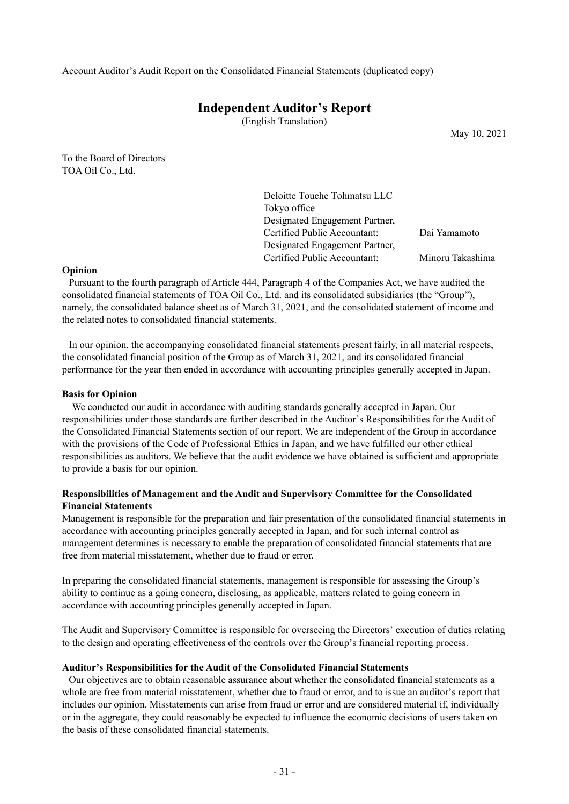Account Auditor's Audit Report on the Consolidated Financial Statements (duplicated copy)

### **Independent Auditor's Report**

(English Translation)

May 10, 2021

To the Board of Directors TOA Oil Co., Ltd.

> Deloitte Touche Tohmatsu LLC Tokyo office Designated Engagement Partner, Certified Public Accountant: Dai Yamamoto Designated Engagement Partner, Certified Public Accountant: Minoru Takashima

### **Opinion**

Pursuant to the fourth paragraph of Article 444, Paragraph 4 of the Companies Act, we have audited the consolidated financial statements of TOA Oil Co., Ltd. and its consolidated subsidiaries (the "Group"), namely, the consolidated balance sheet as of March 31, 2021, and the consolidated statement of income and the related notes to consolidated financial statements.

In our opinion, the accompanying consolidated financial statements present fairly, in all material respects, the consolidated financial position of the Group as of March 31, 2021, and its consolidated financial performance for the year then ended in accordance with accounting principles generally accepted in Japan.

### **Basis for Opinion**

We conducted our audit in accordance with auditing standards generally accepted in Japan. Our responsibilities under those standards are further described in the Auditor's Responsibilities for the Audit of the Consolidated Financial Statements section of our report. We are independent of the Group in accordance with the provisions of the Code of Professional Ethics in Japan, and we have fulfilled our other ethical responsibilities as auditors. We believe that the audit evidence we have obtained is sufficient and appropriate to provide a basis for our opinion.

### **Responsibilities of Management and the Audit and Supervisory Committee for the Consolidated Financial Statements**

Management is responsible for the preparation and fair presentation of the consolidated financial statements in accordance with accounting principles generally accepted in Japan, and for such internal control as management determines is necessary to enable the preparation of consolidated financial statements that are free from material misstatement, whether due to fraud or error.

In preparing the consolidated financial statements, management is responsible for assessing the Group's ability to continue as a going concern, disclosing, as applicable, matters related to going concern in accordance with accounting principles generally accepted in Japan.

The Audit and Supervisory Committee is responsible for overseeing the Directors' execution of duties relating to the design and operating effectiveness of the controls over the Group's financial reporting process.

### **Auditor's Responsibilities for the Audit of the Consolidated Financial Statements**

Our objectives are to obtain reasonable assurance about whether the consolidated financial statements as a whole are free from material misstatement, whether due to fraud or error, and to issue an auditor's report that includes our opinion. Misstatements can arise from fraud or error and are considered material if, individually or in the aggregate, they could reasonably be expected to influence the economic decisions of users taken on the basis of these consolidated financial statements.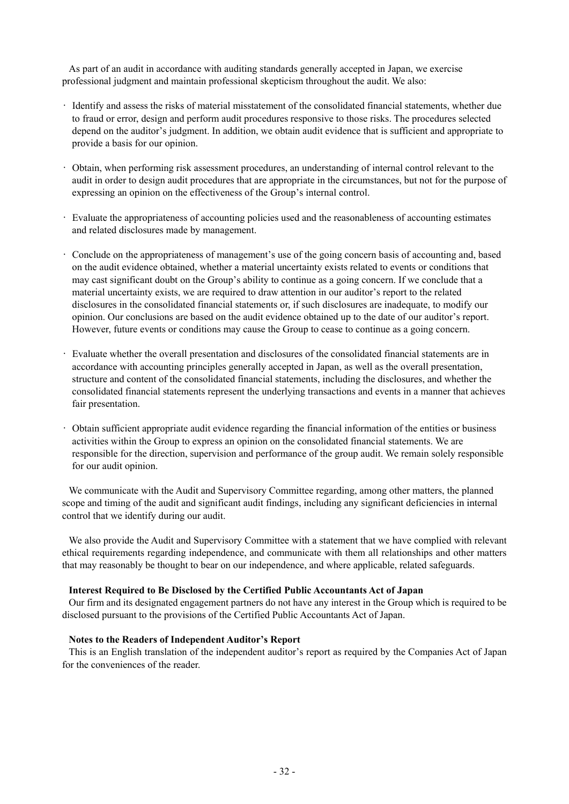As part of an audit in accordance with auditing standards generally accepted in Japan, we exercise professional judgment and maintain professional skepticism throughout the audit. We also:

- Identify and assess the risks of material misstatement of the consolidated financial statements, whether due to fraud or error, design and perform audit procedures responsive to those risks. The procedures selected depend on the auditor's judgment. In addition, we obtain audit evidence that is sufficient and appropriate to provide a basis for our opinion.
- Obtain, when performing risk assessment procedures, an understanding of internal control relevant to the audit in order to design audit procedures that are appropriate in the circumstances, but not for the purpose of expressing an opinion on the effectiveness of the Group's internal control.
- Evaluate the appropriateness of accounting policies used and the reasonableness of accounting estimates and related disclosures made by management.
- Conclude on the appropriateness of management's use of the going concern basis of accounting and, based on the audit evidence obtained, whether a material uncertainty exists related to events or conditions that may cast significant doubt on the Group's ability to continue as a going concern. If we conclude that a material uncertainty exists, we are required to draw attention in our auditor's report to the related disclosures in the consolidated financial statements or, if such disclosures are inadequate, to modify our opinion. Our conclusions are based on the audit evidence obtained up to the date of our auditor's report. However, future events or conditions may cause the Group to cease to continue as a going concern.
- Evaluate whether the overall presentation and disclosures of the consolidated financial statements are in accordance with accounting principles generally accepted in Japan, as well as the overall presentation, structure and content of the consolidated financial statements, including the disclosures, and whether the consolidated financial statements represent the underlying transactions and events in a manner that achieves fair presentation.
- Obtain sufficient appropriate audit evidence regarding the financial information of the entities or business activities within the Group to express an opinion on the consolidated financial statements. We are responsible for the direction, supervision and performance of the group audit. We remain solely responsible for our audit opinion.

We communicate with the Audit and Supervisory Committee regarding, among other matters, the planned scope and timing of the audit and significant audit findings, including any significant deficiencies in internal control that we identify during our audit.

We also provide the Audit and Supervisory Committee with a statement that we have complied with relevant ethical requirements regarding independence, and communicate with them all relationships and other matters that may reasonably be thought to bear on our independence, and where applicable, related safeguards.

### **Interest Required to Be Disclosed by the Certified Public Accountants Act of Japan**

Our firm and its designated engagement partners do not have any interest in the Group which is required to be disclosed pursuant to the provisions of the Certified Public Accountants Act of Japan.

### **Notes to the Readers of Independent Auditor's Report**

This is an English translation of the independent auditor's report as required by the Companies Act of Japan for the conveniences of the reader.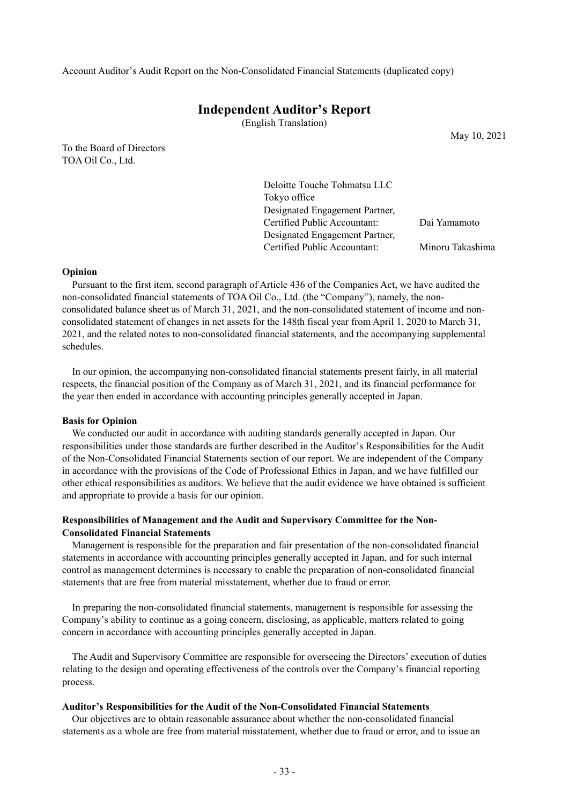Account Auditor's Audit Report on the Non-Consolidated Financial Statements (duplicated copy)

### **Independent Auditor's Report**

(English Translation)

May 10, 2021

To the Board of Directors TOA Oil Co., Ltd.

> Deloitte Touche Tohmatsu LLC Tokyo office Designated Engagement Partner, Certified Public Accountant: Dai Yamamoto Designated Engagement Partner, Certified Public Accountant: Minoru Takashima

### **Opinion**

Pursuant to the first item, second paragraph of Article 436 of the Companies Act, we have audited the non-consolidated financial statements of TOA Oil Co., Ltd. (the "Company"), namely, the nonconsolidated balance sheet as of March 31, 2021, and the non-consolidated statement of income and nonconsolidated statement of changes in net assets for the 148th fiscal year from April 1, 2020 to March 31, 2021, and the related notes to non-consolidated financial statements, and the accompanying supplemental schedules.

In our opinion, the accompanying non-consolidated financial statements present fairly, in all material respects, the financial position of the Company as of March 31, 2021, and its financial performance for the year then ended in accordance with accounting principles generally accepted in Japan.

#### **Basis for Opinion**

We conducted our audit in accordance with auditing standards generally accepted in Japan. Our responsibilities under those standards are further described in the Auditor's Responsibilities for the Audit of the Non-Consolidated Financial Statements section of our report. We are independent of the Company in accordance with the provisions of the Code of Professional Ethics in Japan, and we have fulfilled our other ethical responsibilities as auditors. We believe that the audit evidence we have obtained is sufficient and appropriate to provide a basis for our opinion.

### **Responsibilities of Management and the Audit and Supervisory Committee for the Non-Consolidated Financial Statements**

Management is responsible for the preparation and fair presentation of the non-consolidated financial statements in accordance with accounting principles generally accepted in Japan, and for such internal control as management determines is necessary to enable the preparation of non-consolidated financial statements that are free from material misstatement, whether due to fraud or error.

In preparing the non-consolidated financial statements, management is responsible for assessing the Company's ability to continue as a going concern, disclosing, as applicable, matters related to going concern in accordance with accounting principles generally accepted in Japan.

The Audit and Supervisory Committee are responsible for overseeing the Directors' execution of duties relating to the design and operating effectiveness of the controls over the Company's financial reporting process.

#### **Auditor's Responsibilities for the Audit of the Non-Consolidated Financial Statements**

Our objectives are to obtain reasonable assurance about whether the non-consolidated financial statements as a whole are free from material misstatement, whether due to fraud or error, and to issue an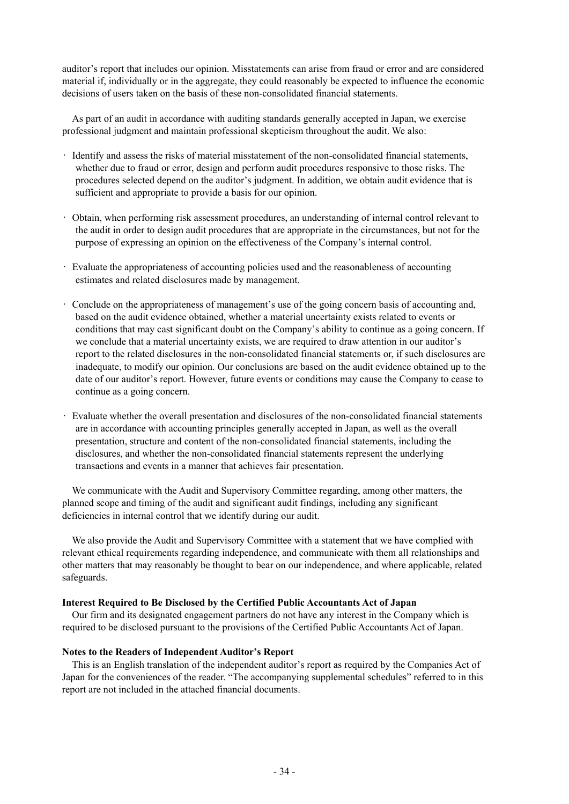auditor's report that includes our opinion. Misstatements can arise from fraud or error and are considered material if, individually or in the aggregate, they could reasonably be expected to influence the economic decisions of users taken on the basis of these non-consolidated financial statements.

As part of an audit in accordance with auditing standards generally accepted in Japan, we exercise professional judgment and maintain professional skepticism throughout the audit. We also:

- Identify and assess the risks of material misstatement of the non-consolidated financial statements, whether due to fraud or error, design and perform audit procedures responsive to those risks. The procedures selected depend on the auditor's judgment. In addition, we obtain audit evidence that is sufficient and appropriate to provide a basis for our opinion.
- Obtain, when performing risk assessment procedures, an understanding of internal control relevant to the audit in order to design audit procedures that are appropriate in the circumstances, but not for the purpose of expressing an opinion on the effectiveness of the Company's internal control.
- Evaluate the appropriateness of accounting policies used and the reasonableness of accounting estimates and related disclosures made by management.
- Conclude on the appropriateness of management's use of the going concern basis of accounting and, based on the audit evidence obtained, whether a material uncertainty exists related to events or conditions that may cast significant doubt on the Company's ability to continue as a going concern. If we conclude that a material uncertainty exists, we are required to draw attention in our auditor's report to the related disclosures in the non-consolidated financial statements or, if such disclosures are inadequate, to modify our opinion. Our conclusions are based on the audit evidence obtained up to the date of our auditor's report. However, future events or conditions may cause the Company to cease to continue as a going concern.
- Evaluate whether the overall presentation and disclosures of the non-consolidated financial statements are in accordance with accounting principles generally accepted in Japan, as well as the overall presentation, structure and content of the non-consolidated financial statements, including the disclosures, and whether the non-consolidated financial statements represent the underlying transactions and events in a manner that achieves fair presentation.

We communicate with the Audit and Supervisory Committee regarding, among other matters, the planned scope and timing of the audit and significant audit findings, including any significant deficiencies in internal control that we identify during our audit.

We also provide the Audit and Supervisory Committee with a statement that we have complied with relevant ethical requirements regarding independence, and communicate with them all relationships and other matters that may reasonably be thought to bear on our independence, and where applicable, related safeguards.

### **Interest Required to Be Disclosed by the Certified Public Accountants Act of Japan**

Our firm and its designated engagement partners do not have any interest in the Company which is required to be disclosed pursuant to the provisions of the Certified Public Accountants Act of Japan.

### **Notes to the Readers of Independent Auditor's Report**

This is an English translation of the independent auditor's report as required by the Companies Act of Japan for the conveniences of the reader. "The accompanying supplemental schedules" referred to in this report are not included in the attached financial documents.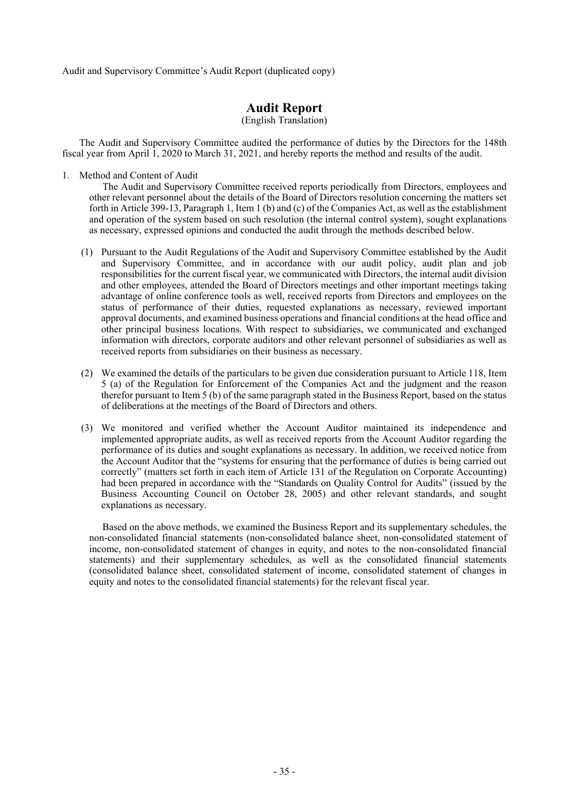Audit and Supervisory Committee's Audit Report (duplicated copy)

### **Audit Report**

(English Translation)

The Audit and Supervisory Committee audited the performance of duties by the Directors for the 148th fiscal year from April 1, 2020 to March 31, 2021, and hereby reports the method and results of the audit.

1. Method and Content of Audit

The Audit and Supervisory Committee received reports periodically from Directors, employees and other relevant personnel about the details of the Board of Directors resolution concerning the matters set forth in Article 399-13, Paragraph 1, Item 1 (b) and (c) of the Companies Act, as well as the establishment and operation of the system based on such resolution (the internal control system), sought explanations as necessary, expressed opinions and conducted the audit through the methods described below.

- (1) Pursuant to the Audit Regulations of the Audit and Supervisory Committee established by the Audit and Supervisory Committee, and in accordance with our audit policy, audit plan and job responsibilities for the current fiscal year, we communicated with Directors, the internal audit division and other employees, attended the Board of Directors meetings and other important meetings taking advantage of online conference tools as well, received reports from Directors and employees on the status of performance of their duties, requested explanations as necessary, reviewed important approval documents, and examined business operations and financial conditions at the head office and other principal business locations. With respect to subsidiaries, we communicated and exchanged information with directors, corporate auditors and other relevant personnel of subsidiaries as well as received reports from subsidiaries on their business as necessary.
- (2) We examined the details of the particulars to be given due consideration pursuant to Article 118, Item 5 (a) of the Regulation for Enforcement of the Companies Act and the judgment and the reason therefor pursuant to Item 5 (b) of the same paragraph stated in the Business Report, based on the status of deliberations at the meetings of the Board of Directors and others.
- (3) We monitored and verified whether the Account Auditor maintained its independence and implemented appropriate audits, as well as received reports from the Account Auditor regarding the performance of its duties and sought explanations as necessary. In addition, we received notice from the Account Auditor that the "systems for ensuring that the performance of duties is being carried out correctly" (matters set forth in each item of Article 131 of the Regulation on Corporate Accounting) had been prepared in accordance with the "Standards on Quality Control for Audits" (issued by the Business Accounting Council on October 28, 2005) and other relevant standards, and sought explanations as necessary.

Based on the above methods, we examined the Business Report and its supplementary schedules, the non-consolidated financial statements (non-consolidated balance sheet, non-consolidated statement of income, non-consolidated statement of changes in equity, and notes to the non-consolidated financial statements) and their supplementary schedules, as well as the consolidated financial statements (consolidated balance sheet, consolidated statement of income, consolidated statement of changes in equity and notes to the consolidated financial statements) for the relevant fiscal year.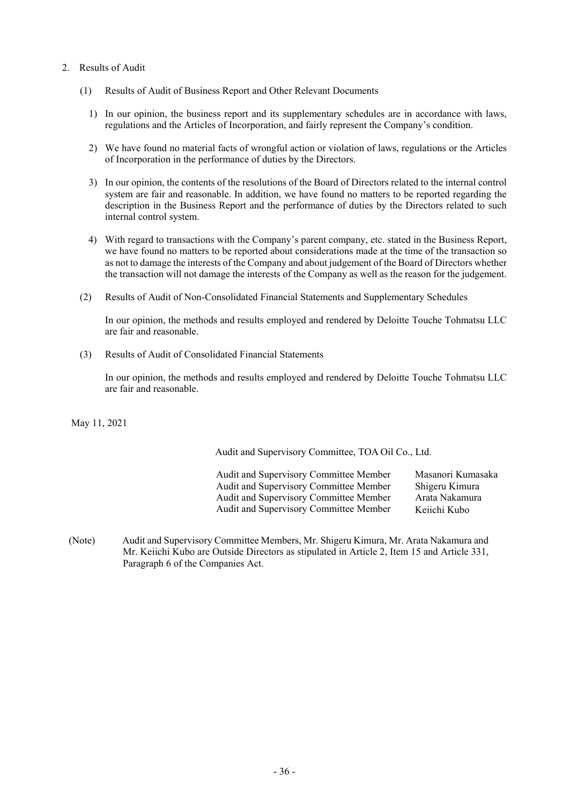### 2. Results of Audit

- (1) Results of Audit of Business Report and Other Relevant Documents
	- 1) In our opinion, the business report and its supplementary schedules are in accordance with laws, regulations and the Articles of Incorporation, and fairly represent the Company's condition.
	- 2) We have found no material facts of wrongful action or violation of laws, regulations or the Articles of Incorporation in the performance of duties by the Directors.
	- 3) In our opinion, the contents of the resolutions of the Board of Directors related to the internal control system are fair and reasonable. In addition, we have found no matters to be reported regarding the description in the Business Report and the performance of duties by the Directors related to such internal control system.
	- 4) With regard to transactions with the Company's parent company, etc. stated in the Business Report, we have found no matters to be reported about considerations made at the time of the transaction so as not to damage the interests of the Company and about judgement of the Board of Directors whether the transaction will not damage the interests of the Company as well as the reason for the judgement.
- (2) Results of Audit of Non-Consolidated Financial Statements and Supplementary Schedules

In our opinion, the methods and results employed and rendered by Deloitte Touche Tohmatsu LLC are fair and reasonable.

(3) Results of Audit of Consolidated Financial Statements

In our opinion, the methods and results employed and rendered by Deloitte Touche Tohmatsu LLC are fair and reasonable.

May 11, 2021

Audit and Supervisory Committee, TOA Oil Co., Ltd.

Audit and Supervisory Committee Member Masanori Kumasaka Audit and Supervisory Committee Member Shigeru Kimura Audit and Supervisory Committee Member Arata Nakamura Audit and Supervisory Committee Member Keiichi Kubo

(Note) Audit and Supervisory Committee Members, Mr. Shigeru Kimura, Mr. Arata Nakamura and Mr. Keiichi Kubo are Outside Directors as stipulated in Article 2, Item 15 and Article 331, Paragraph 6 of the Companies Act.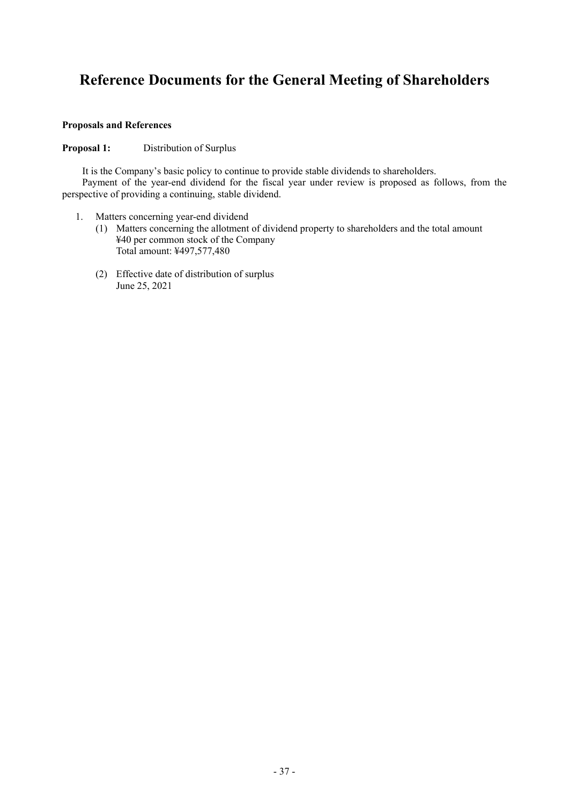# **Reference Documents for the General Meeting of Shareholders**

### **Proposals and References**

### **Proposal 1:** Distribution of Surplus

It is the Company's basic policy to continue to provide stable dividends to shareholders. Payment of the year-end dividend for the fiscal year under review is proposed as follows, from the perspective of providing a continuing, stable dividend.

- 1. Matters concerning year-end dividend
	- (1) Matters concerning the allotment of dividend property to shareholders and the total amount ¥40 per common stock of the Company Total amount: ¥497,577,480
	- (2) Effective date of distribution of surplus June 25, 2021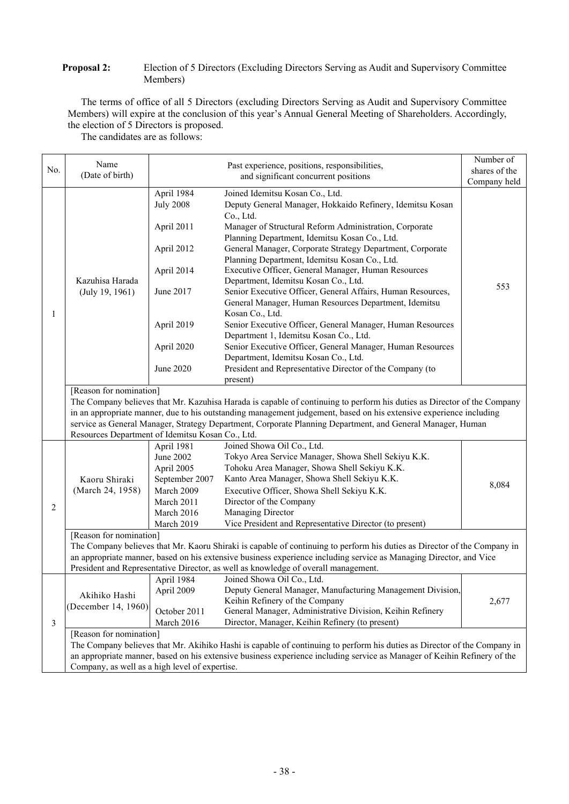### **Proposal 2:** Election of 5 Directors (Excluding Directors Serving as Audit and Supervisory Committee Members)

The terms of office of all 5 Directors (excluding Directors Serving as Audit and Supervisory Committee Members) will expire at the conclusion of this year's Annual General Meeting of Shareholders. Accordingly, the election of 5 Directors is proposed.

The candidates are as follows:

|                | Name                                                                                                                                                                                                                                                                                                                              |                                                                                                                   | Past experience, positions, responsibilities,                                                                                                                                                                                                                                                                                                                                                                                                                                                                                                                                                                                                                                                                                                                                              | Number of     |  |  |  |  |
|----------------|-----------------------------------------------------------------------------------------------------------------------------------------------------------------------------------------------------------------------------------------------------------------------------------------------------------------------------------|-------------------------------------------------------------------------------------------------------------------|--------------------------------------------------------------------------------------------------------------------------------------------------------------------------------------------------------------------------------------------------------------------------------------------------------------------------------------------------------------------------------------------------------------------------------------------------------------------------------------------------------------------------------------------------------------------------------------------------------------------------------------------------------------------------------------------------------------------------------------------------------------------------------------------|---------------|--|--|--|--|
| No.            | (Date of birth)                                                                                                                                                                                                                                                                                                                   |                                                                                                                   | and significant concurrent positions                                                                                                                                                                                                                                                                                                                                                                                                                                                                                                                                                                                                                                                                                                                                                       | shares of the |  |  |  |  |
|                |                                                                                                                                                                                                                                                                                                                                   |                                                                                                                   |                                                                                                                                                                                                                                                                                                                                                                                                                                                                                                                                                                                                                                                                                                                                                                                            | Company held  |  |  |  |  |
| 1              | Kazuhisa Harada<br>(July 19, 1961)                                                                                                                                                                                                                                                                                                | April 1984<br><b>July 2008</b><br>April 2011<br>April 2012<br>April 2014<br>June 2017<br>April 2019<br>April 2020 | Joined Idemitsu Kosan Co., Ltd.<br>Deputy General Manager, Hokkaido Refinery, Idemitsu Kosan<br>Co., Ltd.<br>Manager of Structural Reform Administration, Corporate<br>Planning Department, Idemitsu Kosan Co., Ltd.<br>General Manager, Corporate Strategy Department, Corporate<br>Planning Department, Idemitsu Kosan Co., Ltd.<br>Executive Officer, General Manager, Human Resources<br>Department, Idemitsu Kosan Co., Ltd.<br>Senior Executive Officer, General Affairs, Human Resources,<br>General Manager, Human Resources Department, Idemitsu<br>Kosan Co., Ltd.<br>Senior Executive Officer, General Manager, Human Resources<br>Department 1, Idemitsu Kosan Co., Ltd.<br>Senior Executive Officer, General Manager, Human Resources<br>Department, Idemitsu Kosan Co., Ltd. | 553           |  |  |  |  |
|                | [Reason for nomination]<br>Resources Department of Idemitsu Kosan Co., Ltd.                                                                                                                                                                                                                                                       | June 2020                                                                                                         | President and Representative Director of the Company (to<br>present)<br>The Company believes that Mr. Kazuhisa Harada is capable of continuing to perform his duties as Director of the Company<br>in an appropriate manner, due to his outstanding management judgement, based on his extensive experience including<br>service as General Manager, Strategy Department, Corporate Planning Department, and General Manager, Human                                                                                                                                                                                                                                                                                                                                                        |               |  |  |  |  |
| $\overline{2}$ | Kaoru Shiraki<br>(March 24, 1958)<br>[Reason for nomination]                                                                                                                                                                                                                                                                      | April 1981<br>June 2002<br>April 2005<br>September 2007<br>March 2009<br>March 2011<br>March 2016<br>March 2019   | Joined Showa Oil Co., Ltd.<br>Tokyo Area Service Manager, Showa Shell Sekiyu K.K.<br>Tohoku Area Manager, Showa Shell Sekiyu K.K.<br>Kanto Area Manager, Showa Shell Sekiyu K.K.<br>Executive Officer, Showa Shell Sekiyu K.K.<br>Director of the Company<br>Managing Director<br>Vice President and Representative Director (to present)<br>The Company believes that Mr. Kaoru Shiraki is capable of continuing to perform his duties as Director of the Company in                                                                                                                                                                                                                                                                                                                      | 8,084         |  |  |  |  |
|                |                                                                                                                                                                                                                                                                                                                                   |                                                                                                                   | an appropriate manner, based on his extensive business experience including service as Managing Director, and Vice<br>President and Representative Director, as well as knowledge of overall management.                                                                                                                                                                                                                                                                                                                                                                                                                                                                                                                                                                                   |               |  |  |  |  |
| 3              | Akihiko Hashi<br>(December 14, 1960)                                                                                                                                                                                                                                                                                              | April 1984<br>April 2009<br>October 2011<br>March 2016                                                            | Joined Showa Oil Co., Ltd.<br>Deputy General Manager, Manufacturing Management Division,<br>Keihin Refinery of the Company<br>General Manager, Administrative Division, Keihin Refinery<br>Director, Manager, Keihin Refinery (to present)                                                                                                                                                                                                                                                                                                                                                                                                                                                                                                                                                 | 2,677         |  |  |  |  |
|                | [Reason for nomination]<br>The Company believes that Mr. Akihiko Hashi is capable of continuing to perform his duties as Director of the Company in<br>an appropriate manner, based on his extensive business experience including service as Manager of Keihin Refinery of the<br>Company, as well as a high level of expertise. |                                                                                                                   |                                                                                                                                                                                                                                                                                                                                                                                                                                                                                                                                                                                                                                                                                                                                                                                            |               |  |  |  |  |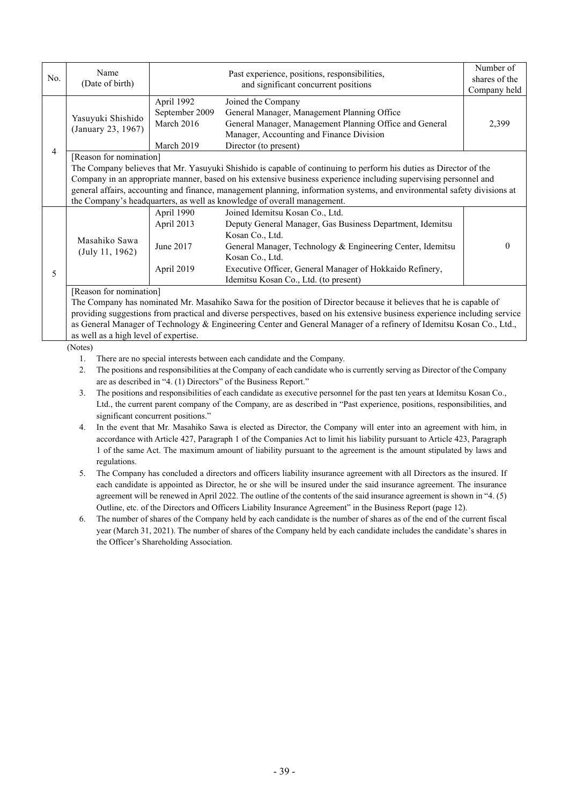| No. | Name<br>(Date of birth)                                                                                                                                                                                                                                                                                                                                                                                                                                                 |                                                          | Past experience, positions, responsibilities,<br>and significant concurrent positions                                                                                                                                                                                                                 | Number of<br>shares of the<br>Company held |
|-----|-------------------------------------------------------------------------------------------------------------------------------------------------------------------------------------------------------------------------------------------------------------------------------------------------------------------------------------------------------------------------------------------------------------------------------------------------------------------------|----------------------------------------------------------|-------------------------------------------------------------------------------------------------------------------------------------------------------------------------------------------------------------------------------------------------------------------------------------------------------|--------------------------------------------|
| 4   | Yasuyuki Shishido<br>(January 23, 1967)                                                                                                                                                                                                                                                                                                                                                                                                                                 | April 1992<br>September 2009<br>March 2016<br>March 2019 | Joined the Company<br>General Manager, Management Planning Office<br>General Manager, Management Planning Office and General<br>Manager, Accounting and Finance Division<br>Director (to present)                                                                                                     | 2,399                                      |
|     | [Reason for nomination]<br>The Company believes that Mr. Yasuyuki Shishido is capable of continuing to perform his duties as Director of the<br>Company in an appropriate manner, based on his extensive business experience including supervising personnel and<br>general affairs, accounting and finance, management planning, information systems, and environmental safety divisions at<br>the Company's headquarters, as well as knowledge of overall management. |                                                          |                                                                                                                                                                                                                                                                                                       |                                            |
| 5   | Masahiko Sawa<br>(July 11, 1962)                                                                                                                                                                                                                                                                                                                                                                                                                                        | April 1990<br>April 2013<br>June 2017<br>April 2019      | Joined Idemitsu Kosan Co., Ltd.<br>Deputy General Manager, Gas Business Department, Idemitsu<br>Kosan Co., Ltd.<br>General Manager, Technology & Engineering Center, Idemitsu<br>Kosan Co., Ltd.<br>Executive Officer, General Manager of Hokkaido Refinery,<br>Idemitsu Kosan Co., Ltd. (to present) | $^{\circ}$                                 |
|     | [Reason for nomination]<br>The Company has nominated Mr. Masahiko Sawa for the position of Director because it believes that he is capable of<br>providing suggestions from practical and diverse perspectives, based on his extensive business experience including service<br>as General Manager of Technology & Engineering Center and General Manager of a refinery of Idemitsu Kosan Co., Ltd.,<br>as well as a high level of expertise.<br>(Notes)                |                                                          |                                                                                                                                                                                                                                                                                                       |                                            |

1. There are no special interests between each candidate and the Company.

2. The positions and responsibilities at the Company of each candidate who is currently serving as Director of the Company are as described in "4. (1) Directors" of the Business Report."

- 3. The positions and responsibilities of each candidate as executive personnel for the past ten years at Idemitsu Kosan Co., Ltd., the current parent company of the Company, are as described in "Past experience, positions, responsibilities, and significant concurrent positions."
- 4. In the event that Mr. Masahiko Sawa is elected as Director, the Company will enter into an agreement with him, in accordance with Article 427, Paragraph 1 of the Companies Act to limit his liability pursuant to Article 423, Paragraph 1 of the same Act. The maximum amount of liability pursuant to the agreement is the amount stipulated by laws and regulations.
- 5. The Company has concluded a directors and officers liability insurance agreement with all Directors as the insured. If each candidate is appointed as Director, he or she will be insured under the said insurance agreement. The insurance agreement will be renewed in April 2022. The outline of the contents of the said insurance agreement is shown in "4. (5) Outline, etc. of the Directors and Officers Liability Insurance Agreement" in the Business Report (page 12).
- 6. The number of shares of the Company held by each candidate is the number of shares as of the end of the current fiscal year (March 31, 2021). The number of shares of the Company held by each candidate includes the candidate's shares in the Officer's Shareholding Association.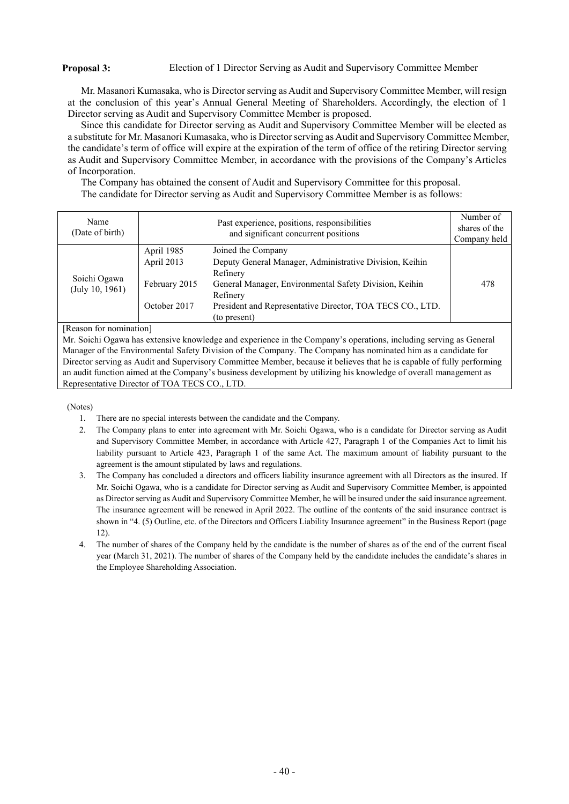### **Proposal 3:** Election of 1 Director Serving as Audit and Supervisory Committee Member

Mr. Masanori Kumasaka, who is Director serving as Audit and Supervisory Committee Member, will resign at the conclusion of this year's Annual General Meeting of Shareholders. Accordingly, the election of 1 Director serving as Audit and Supervisory Committee Member is proposed.

Since this candidate for Director serving as Audit and Supervisory Committee Member will be elected as a substitute for Mr. Masanori Kumasaka, who is Director serving as Audit and Supervisory Committee Member, the candidate's term of office will expire at the expiration of the term of office of the retiring Director serving as Audit and Supervisory Committee Member, in accordance with the provisions of the Company's Articles of Incorporation.

The Company has obtained the consent of Audit and Supervisory Committee for this proposal. The candidate for Director serving as Audit and Supervisory Committee Member is as follows:

| Name<br>(Date of birth)         |                                                           | Past experience, positions, responsibilities<br>and significant concurrent positions                                                                                                                                                         | Number of<br>shares of the<br>Company held |
|---------------------------------|-----------------------------------------------------------|----------------------------------------------------------------------------------------------------------------------------------------------------------------------------------------------------------------------------------------------|--------------------------------------------|
| Soichi Ogawa<br>(July 10, 1961) | April 1985<br>April 2013<br>February 2015<br>October 2017 | Joined the Company<br>Deputy General Manager, Administrative Division, Keihin<br>Refinery<br>General Manager, Environmental Safety Division, Keihin<br>Refinery<br>President and Representative Director, TOA TECS CO., LTD.<br>(to present) | 478                                        |

### [Reason for nomination]

Mr. Soichi Ogawa has extensive knowledge and experience in the Company's operations, including serving as General Manager of the Environmental Safety Division of the Company. The Company has nominated him as a candidate for Director serving as Audit and Supervisory Committee Member, because it believes that he is capable of fully performing an audit function aimed at the Company's business development by utilizing his knowledge of overall management as Representative Director of TOA TECS CO., LTD.

(Notes)

- 1. There are no special interests between the candidate and the Company.
- 2. The Company plans to enter into agreement with Mr. Soichi Ogawa, who is a candidate for Director serving as Audit and Supervisory Committee Member, in accordance with Article 427, Paragraph 1 of the Companies Act to limit his liability pursuant to Article 423, Paragraph 1 of the same Act. The maximum amount of liability pursuant to the agreement is the amount stipulated by laws and regulations.
- 3. The Company has concluded a directors and officers liability insurance agreement with all Directors as the insured. If Mr. Soichi Ogawa, who is a candidate for Director serving as Audit and Supervisory Committee Member, is appointed as Director serving as Audit and Supervisory Committee Member, he will be insured under the said insurance agreement. The insurance agreement will be renewed in April 2022. The outline of the contents of the said insurance contract is shown in "4. (5) Outline, etc. of the Directors and Officers Liability Insurance agreement" in the Business Report (page 12).
- 4. The number of shares of the Company held by the candidate is the number of shares as of the end of the current fiscal year (March 31, 2021). The number of shares of the Company held by the candidate includes the candidate's shares in the Employee Shareholding Association.